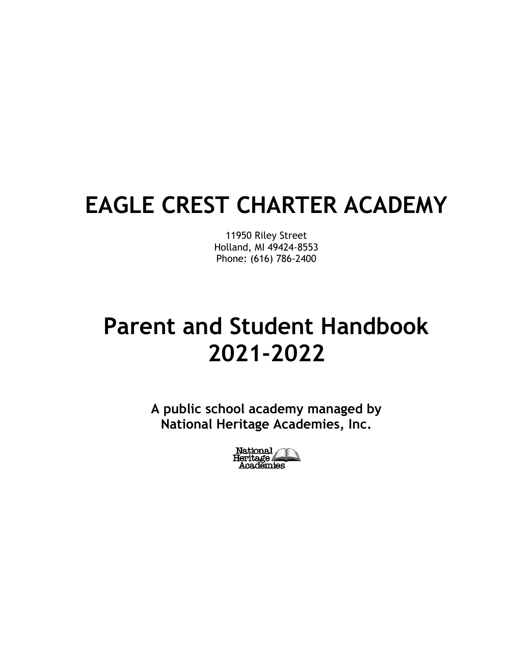# **EAGLE CREST CHARTER ACADEMY**

11950 Riley Street Holland, MI 49424-8553 Phone: (616) 786-2400

# **Parent and Student Handbook 2021-2022**

**A public school academy managed by National Heritage Academies, Inc.**

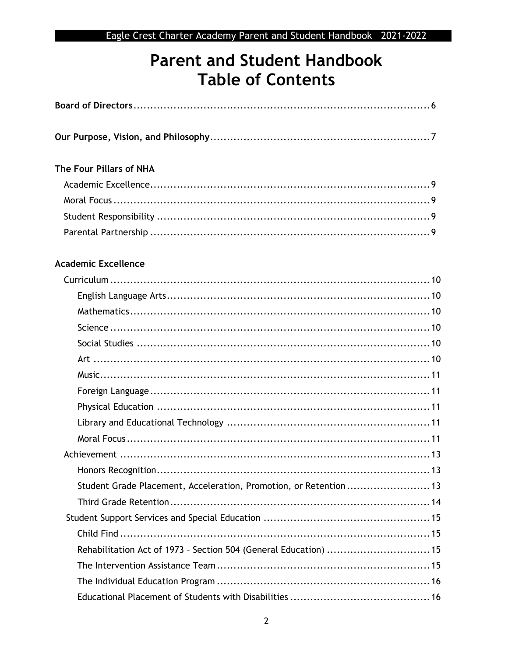## **Parent and Student Handbook Table of Contents**

| The Four Pillars of NHA                                          |  |
|------------------------------------------------------------------|--|
|                                                                  |  |
|                                                                  |  |
|                                                                  |  |
|                                                                  |  |
| <b>Academic Excellence</b>                                       |  |
|                                                                  |  |
|                                                                  |  |
|                                                                  |  |
|                                                                  |  |
|                                                                  |  |
|                                                                  |  |
|                                                                  |  |
|                                                                  |  |
|                                                                  |  |
|                                                                  |  |
|                                                                  |  |
|                                                                  |  |
|                                                                  |  |
| Student Grade Placement, Acceleration, Promotion, or Retention13 |  |
|                                                                  |  |
|                                                                  |  |
|                                                                  |  |
| Rehabilitation Act of 1973 - Section 504 (General Education)  15 |  |
|                                                                  |  |
|                                                                  |  |
|                                                                  |  |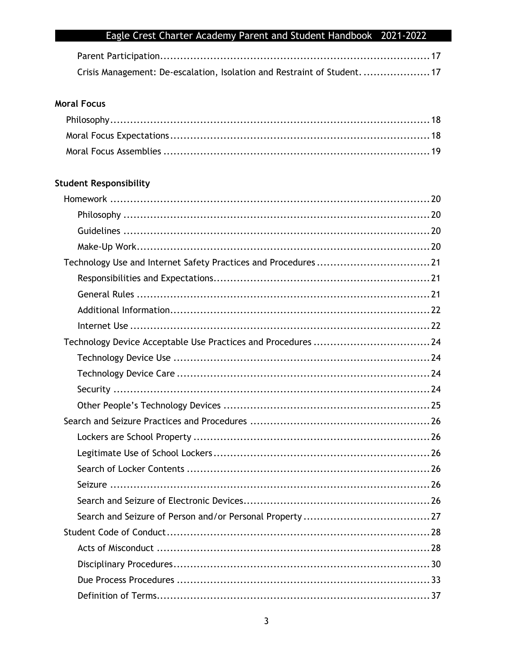| Crisis Management: De-escalation, Isolation and Restraint of Student. 17 |  |
|--------------------------------------------------------------------------|--|

## **Moral Focus**

## **Student Responsibility**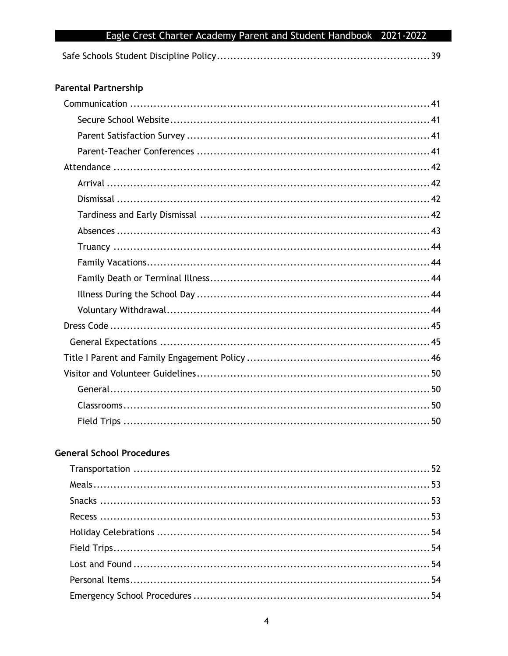### **Parental Partnership**

## **General School Procedures**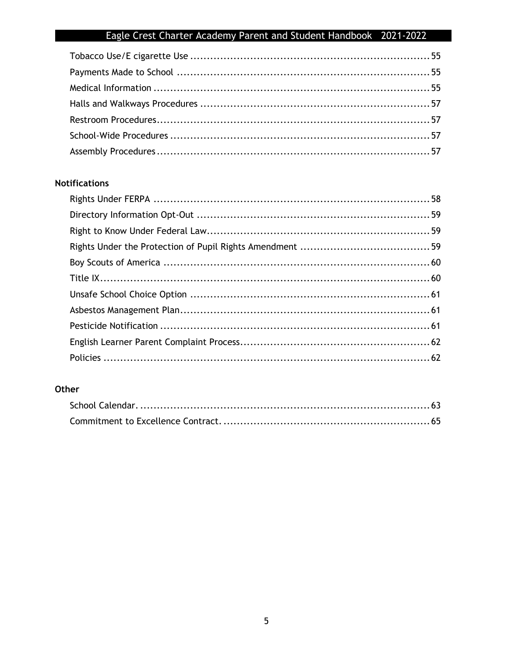## **Notifications**

## Other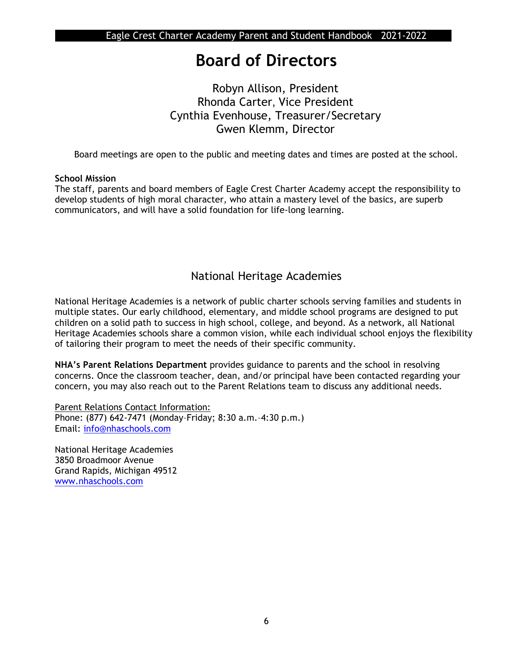## **Board of Directors**

## Robyn Allison, President Rhonda Carter, Vice President Cynthia Evenhouse, Treasurer/Secretary Gwen Klemm, Director

Board meetings are open to the public and meeting dates and times are posted at the school.

#### **School Mission**

The staff, parents and board members of Eagle Crest Charter Academy accept the responsibility to develop students of high moral character, who attain a mastery level of the basics, are superb communicators, and will have a solid foundation for life-long learning.

## National Heritage Academies

National Heritage Academies is a network of public charter schools serving families and students in multiple states. Our early childhood, elementary, and middle school programs are designed to put children on a solid path to success in high school, college, and beyond. As a network, all National Heritage Academies schools share a common vision, while each individual school enjoys the flexibility of tailoring their program to meet the needs of their specific community.

**NHA's Parent Relations Department** provides guidance to parents and the school in resolving concerns. Once the classroom teacher, dean, and/or principal have been contacted regarding your concern, you may also reach out to the Parent Relations team to discuss any additional needs.

**Parent Relations Contact Information:** Phone: (877) 642-7471 (Monday–Friday; 8:30 a.m.–4:30 p.m.) Email: [info@nhaschools.com](mailto:info@nhaschools.com)

National Heritage Academies 3850 Broadmoor Avenue Grand Rapids, Michigan 49512 [www.nhaschools.com](http://www.nhaschools.com/)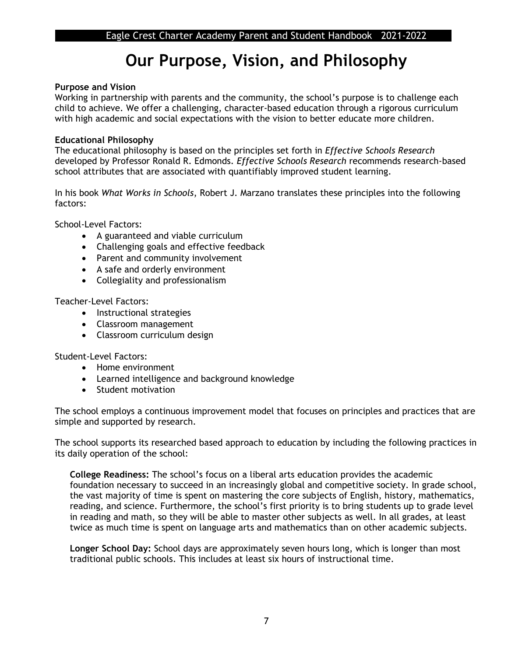## **Our Purpose, Vision, and Philosophy**

#### **Purpose and Vision**

Working in partnership with parents and the community, the school's purpose is to challenge each child to achieve. We offer a challenging, character-based education through a rigorous curriculum with high academic and social expectations with the vision to better educate more children.

#### **Educational Philosophy**

The educational philosophy is based on the principles set forth in *Effective Schools Research*  developed by Professor Ronald R. Edmonds*. Effective Schools Research* recommends research-based school attributes that are associated with quantifiably improved student learning.

In his book *What Works in Schools*, Robert J. Marzano translates these principles into the following factors:

School-Level Factors:

- A guaranteed and viable curriculum
- Challenging goals and effective feedback
- Parent and community involvement
- A safe and orderly environment
- Collegiality and professionalism

Teacher-Level Factors:

- Instructional strategies
- Classroom management
- Classroom curriculum design

Student-Level Factors:

- Home environment
- Learned intelligence and background knowledge
- Student motivation

The school employs a continuous improvement model that focuses on principles and practices that are simple and supported by research.

The school supports its researched based approach to education by including the following practices in its daily operation of the school:

**College Readiness:** The school's focus on a liberal arts education provides the academic foundation necessary to succeed in an increasingly global and competitive society. In grade school, the vast majority of time is spent on mastering the core subjects of English, history, mathematics, reading, and science. Furthermore, the school's first priority is to bring students up to grade level in reading and math, so they will be able to master other subjects as well. In all grades, at least twice as much time is spent on language arts and mathematics than on other academic subjects.

**Longer School Day:** School days are approximately seven hours long, which is longer than most traditional public schools. This includes at least six hours of instructional time.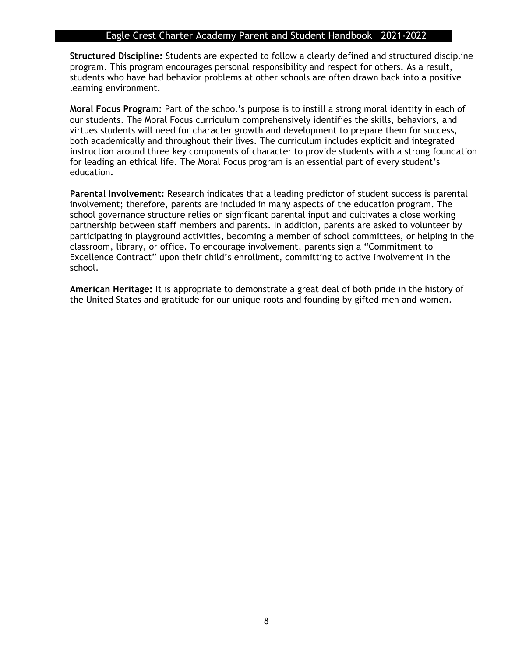**Structured Discipline:** Students are expected to follow a clearly defined and structured discipline program. This program encourages personal responsibility and respect for others. As a result, students who have had behavior problems at other schools are often drawn back into a positive learning environment.

**Moral Focus Program:** Part of the school's purpose is to instill a strong moral identity in each of our students. The Moral Focus curriculum comprehensively identifies the skills, behaviors, and virtues students will need for character growth and development to prepare them for success, both academically and throughout their lives. The curriculum includes explicit and integrated instruction around three key components of character to provide students with a strong foundation for leading an ethical life. The Moral Focus program is an essential part of every student's education.

**Parental Involvement:** Research indicates that a leading predictor of student success is parental involvement; therefore, parents are included in many aspects of the education program. The school governance structure relies on significant parental input and cultivates a close working partnership between staff members and parents. In addition, parents are asked to volunteer by participating in playground activities, becoming a member of school committees, or helping in the classroom, library, or office. To encourage involvement, parents sign a "Commitment to Excellence Contract" upon their child's enrollment, committing to active involvement in the school.

**American Heritage:** It is appropriate to demonstrate a great deal of both pride in the history of the United States and gratitude for our unique roots and founding by gifted men and women.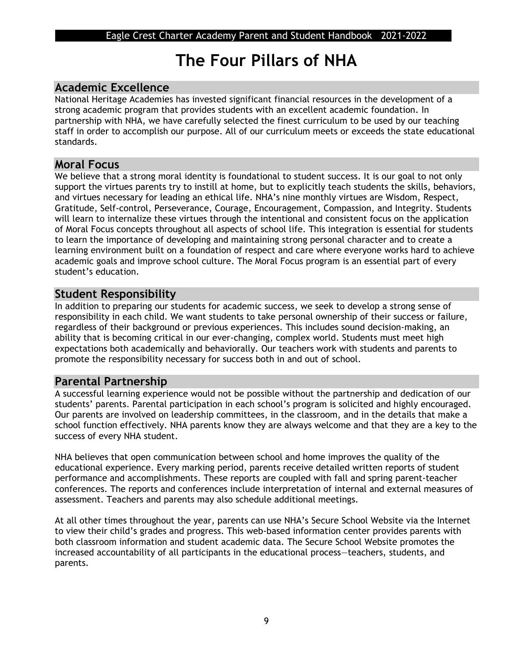## **The Four Pillars of NHA**

## **Academic Excellence**

National Heritage Academies has invested significant financial resources in the development of a strong academic program that provides students with an excellent academic foundation. In partnership with NHA, we have carefully selected the finest curriculum to be used by our teaching staff in order to accomplish our purpose. All of our curriculum meets or exceeds the state educational standards.

### **Moral Focus**

We believe that a strong moral identity is foundational to student success. It is our goal to not only support the virtues parents try to instill at home, but to explicitly teach students the skills, behaviors, and virtues necessary for leading an ethical life. NHA's nine monthly virtues are Wisdom, Respect, Gratitude, Self-control, Perseverance, Courage, Encouragement, Compassion, and Integrity. Students will learn to internalize these virtues through the intentional and consistent focus on the application of Moral Focus concepts throughout all aspects of school life. This integration is essential for students to learn the importance of developing and maintaining strong personal character and to create a learning environment built on a foundation of respect and care where everyone works hard to achieve academic goals and improve school culture. The Moral Focus program is an essential part of every student's education.

## **Student Responsibility**

In addition to preparing our students for academic success, we seek to develop a strong sense of responsibility in each child. We want students to take personal ownership of their success or failure, regardless of their background or previous experiences. This includes sound decision-making, an ability that is becoming critical in our ever-changing, complex world. Students must meet high expectations both academically and behaviorally. Our teachers work with students and parents to promote the responsibility necessary for success both in and out of school.

## **Parental Partnership**

A successful learning experience would not be possible without the partnership and dedication of our students' parents. Parental participation in each school's program is solicited and highly encouraged. Our parents are involved on leadership committees, in the classroom, and in the details that make a school function effectively. NHA parents know they are always welcome and that they are a key to the success of every NHA student.

NHA believes that open communication between school and home improves the quality of the educational experience. Every marking period, parents receive detailed written reports of student performance and accomplishments. These reports are coupled with fall and spring parent-teacher conferences. The reports and conferences include interpretation of internal and external measures of assessment. Teachers and parents may also schedule additional meetings.

At all other times throughout the year, parents can use NHA's Secure School Website via the Internet to view their child's grades and progress. This web-based information center provides parents with both classroom information and student academic data. The Secure School Website promotes the increased accountability of all participants in the educational process—teachers, students, and parents.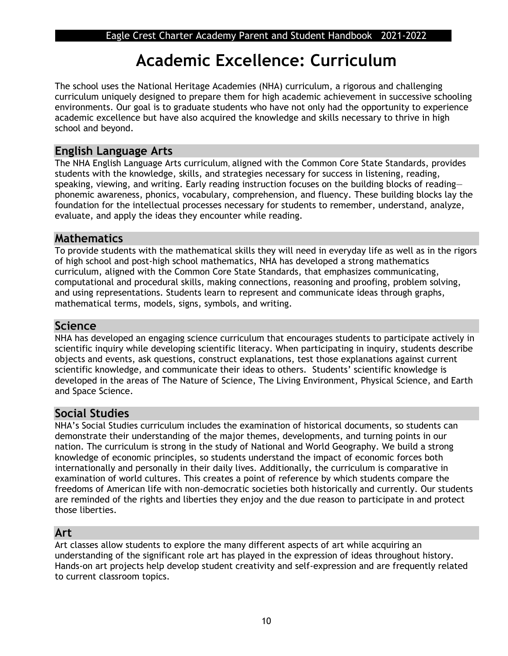## **Academic Excellence: Curriculum**

The school uses the National Heritage Academies (NHA) curriculum, a rigorous and challenging curriculum uniquely designed to prepare them for high academic achievement in successive schooling environments. Our goal is to graduate students who have not only had the opportunity to experience academic excellence but have also acquired the knowledge and skills necessary to thrive in high school and beyond.

## **English Language Arts**

The NHA English Language Arts curriculum, aligned with the Common Core State Standards, provides students with the knowledge, skills, and strategies necessary for success in listening, reading, speaking, viewing, and writing. Early reading instruction focuses on the building blocks of reading phonemic awareness, phonics, vocabulary, comprehension, and fluency. These building blocks lay the foundation for the intellectual processes necessary for students to remember, understand, analyze, evaluate, and apply the ideas they encounter while reading.

## **Mathematics**

To provide students with the mathematical skills they will need in everyday life as well as in the rigors of high school and post-high school mathematics, NHA has developed a strong mathematics curriculum, aligned with the Common Core State Standards, that emphasizes communicating, computational and procedural skills, making connections, reasoning and proofing, problem solving, and using representations. Students learn to represent and communicate ideas through graphs, mathematical terms, models, signs, symbols, and writing.

## **Science**

NHA has developed an engaging science curriculum that encourages students to participate actively in scientific inquiry while developing scientific literacy. When participating in inquiry, students describe objects and events, ask questions, construct explanations, test those explanations against current scientific knowledge, and communicate their ideas to others. Students' scientific knowledge is developed in the areas of The Nature of Science, The Living Environment, Physical Science, and Earth and Space Science.

## **Social Studies**

NHA's Social Studies curriculum includes the examination of historical documents, so students can demonstrate their understanding of the major themes, developments, and turning points in our nation. The curriculum is strong in the study of National and World Geography. We build a strong knowledge of economic principles, so students understand the impact of economic forces both internationally and personally in their daily lives. Additionally, the curriculum is comparative in examination of world cultures. This creates a point of reference by which students compare the freedoms of American life with non-democratic societies both historically and currently. Our students are reminded of the rights and liberties they enjoy and the due reason to participate in and protect those liberties.

## **Art**

Art classes allow students to explore the many different aspects of art while acquiring an understanding of the significant role art has played in the expression of ideas throughout history. Hands-on art projects help develop student creativity and self-expression and are frequently related to current classroom topics.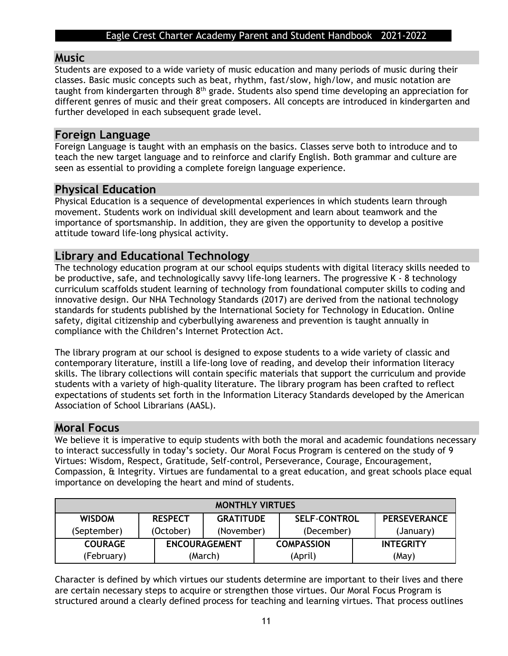### **Music**

Students are exposed to a wide variety of music education and many periods of music during their classes. Basic music concepts such as beat, rhythm, fast/slow, high/low, and music notation are taught from kindergarten through 8<sup>th</sup> grade. Students also spend time developing an appreciation for different genres of music and their great composers. All concepts are introduced in kindergarten and further developed in each subsequent grade level.

#### **Foreign Language**

Foreign Language is taught with an emphasis on the basics. Classes serve both to introduce and to teach the new target language and to reinforce and clarify English. Both grammar and culture are seen as essential to providing a complete foreign language experience.

## **Physical Education**

Physical Education is a sequence of developmental experiences in which students learn through movement. Students work on individual skill development and learn about teamwork and the importance of sportsmanship. In addition, they are given the opportunity to develop a positive attitude toward life-long physical activity.

## **Library and Educational Technology**

The technology education program at our school equips students with digital literacy skills needed to be productive, safe, and technologically savvy life-long learners. The progressive K - 8 technology curriculum scaffolds student learning of technology from foundational computer skills to coding and innovative design. Our NHA Technology Standards (2017) are derived from the national technology standards for students published by the International Society for Technology in Education. Online safety, digital citizenship and cyberbullying awareness and prevention is taught annually in compliance with the Children's Internet Protection Act.

The library program at our school is designed to expose students to a wide variety of classic and contemporary literature, instill a life-long love of reading, and develop their information literacy skills. The library collections will contain specific materials that support the curriculum and provide students with a variety of high-quality literature. The library program has been crafted to reflect expectations of students set forth in the Information Literacy Standards developed by the American Association of School Librarians (AASL).

## **Moral Focus**

We believe it is imperative to equip students with both the moral and academic foundations necessary to interact successfully in today's society. Our Moral Focus Program is centered on the study of 9 Virtues: Wisdom, Respect, Gratitude, Self-control, Perseverance, Courage, Encouragement, Compassion, & Integrity. Virtues are fundamental to a great education, and great schools place equal importance on developing the heart and mind of students.

| <b>MONTHLY VIRTUES</b>                                                                            |           |                      |  |                   |                  |  |
|---------------------------------------------------------------------------------------------------|-----------|----------------------|--|-------------------|------------------|--|
| <b>WISDOM</b><br><b>SELF-CONTROL</b><br><b>PERSEVERANCE</b><br><b>GRATITUDE</b><br><b>RESPECT</b> |           |                      |  |                   |                  |  |
| (September)                                                                                       | (October) | (November)           |  | (December)        | (January)        |  |
| <b>COURAGE</b>                                                                                    |           | <b>ENCOURAGEMENT</b> |  | <b>COMPASSION</b> | <b>INTEGRITY</b> |  |
| (February)                                                                                        |           | (March)              |  | (April)           | (May)            |  |

Character is defined by which virtues our students determine are important to their lives and there are certain necessary steps to acquire or strengthen those virtues. Our Moral Focus Program is structured around a clearly defined process for teaching and learning virtues. That process outlines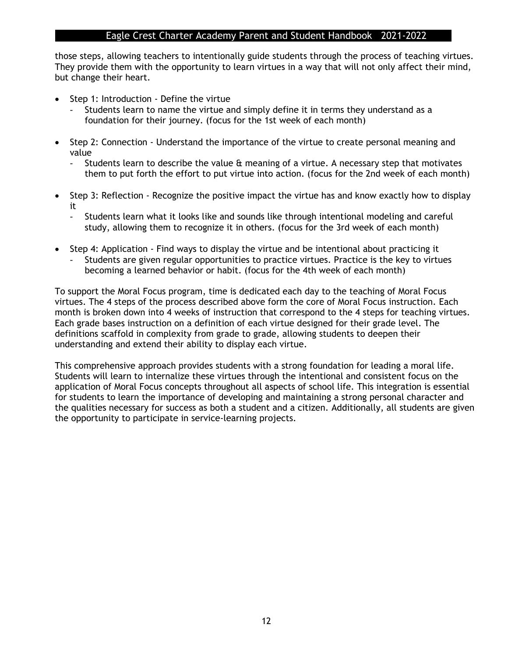those steps, allowing teachers to intentionally guide students through the process of teaching virtues. They provide them with the opportunity to learn virtues in a way that will not only affect their mind, but change their heart.

- Step 1: Introduction Define the virtue
	- Students learn to name the virtue and simply define it in terms they understand as a foundation for their journey. (focus for the 1st week of each month)
- Step 2: Connection Understand the importance of the virtue to create personal meaning and value
	- Students learn to describe the value & meaning of a virtue. A necessary step that motivates them to put forth the effort to put virtue into action. (focus for the 2nd week of each month)
- Step 3: Reflection Recognize the positive impact the virtue has and know exactly how to display it
	- Students learn what it looks like and sounds like through intentional modeling and careful study, allowing them to recognize it in others. (focus for the 3rd week of each month)
- Step 4: Application Find ways to display the virtue and be intentional about practicing it Students are given regular opportunities to practice virtues. Practice is the key to virtues becoming a learned behavior or habit. (focus for the 4th week of each month)

To support the Moral Focus program, time is dedicated each day to the teaching of Moral Focus virtues. The 4 steps of the process described above form the core of Moral Focus instruction. Each month is broken down into 4 weeks of instruction that correspond to the 4 steps for teaching virtues. Each grade bases instruction on a definition of each virtue designed for their grade level. The definitions scaffold in complexity from grade to grade, allowing students to deepen their understanding and extend their ability to display each virtue.

This comprehensive approach provides students with a strong foundation for leading a moral life. Students will learn to internalize these virtues through the intentional and consistent focus on the application of Moral Focus concepts throughout all aspects of school life. This integration is essential for students to learn the importance of developing and maintaining a strong personal character and the qualities necessary for success as both a student and a citizen. Additionally, all students are given the opportunity to participate in service-learning projects.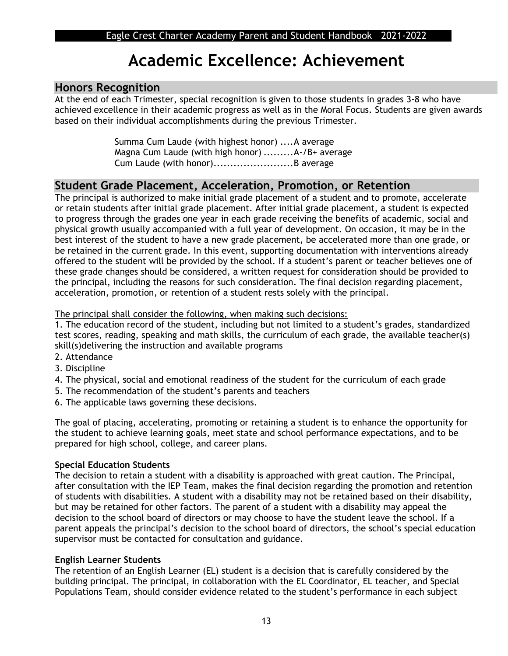## **Academic Excellence: Achievement**

## **Honors Recognition**

At the end of each Trimester, special recognition is given to those students in grades 3-8 who have achieved excellence in their academic progress as well as in the Moral Focus. Students are given awards based on their individual accomplishments during the previous Trimester.

> Summa Cum Laude (with highest honor) ....A average Magna Cum Laude (with high honor) .........A-/B+ average Cum Laude (with honor)........................B average

## **Student Grade Placement, Acceleration, Promotion, or Retention**

The principal is authorized to make initial grade placement of a student and to promote, accelerate or retain students after initial grade placement. After initial grade placement, a student is expected to progress through the grades one year in each grade receiving the benefits of academic, social and physical growth usually accompanied with a full year of development. On occasion, it may be in the best interest of the student to have a new grade placement, be accelerated more than one grade, or be retained in the current grade. In this event, supporting documentation with interventions already offered to the student will be provided by the school. If a student's parent or teacher believes one of these grade changes should be considered, a written request for consideration should be provided to the principal, including the reasons for such consideration. The final decision regarding placement, acceleration, promotion, or retention of a student rests solely with the principal.

The principal shall consider the following, when making such decisions:

1. The education record of the student, including but not limited to a student's grades, standardized test scores, reading, speaking and math skills, the curriculum of each grade, the available teacher(s) skill(s)delivering the instruction and available programs

- 2. Attendance
- 3. Discipline
- 4. The physical, social and emotional readiness of the student for the curriculum of each grade
- 5. The recommendation of the student's parents and teachers
- 6. The applicable laws governing these decisions.

The goal of placing, accelerating, promoting or retaining a student is to enhance the opportunity for the student to achieve learning goals, meet state and school performance expectations, and to be prepared for high school, college, and career plans.

#### **Special Education Students**

The decision to retain a student with a disability is approached with great caution. The Principal, after consultation with the IEP Team, makes the final decision regarding the promotion and retention of students with disabilities. A student with a disability may not be retained based on their disability, but may be retained for other factors. The parent of a student with a disability may appeal the decision to the school board of directors or may choose to have the student leave the school. If a parent appeals the principal's decision to the school board of directors, the school's special education supervisor must be contacted for consultation and guidance.

#### **English Learner Students**

The retention of an English Learner (EL) student is a decision that is carefully considered by the building principal. The principal, in collaboration with the EL Coordinator, EL teacher, and Special Populations Team, should consider evidence related to the student's performance in each subject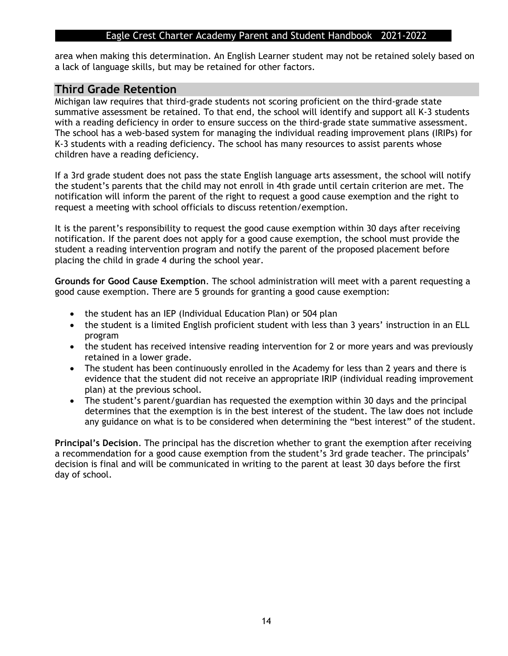area when making this determination. An English Learner student may not be retained solely based on a lack of language skills, but may be retained for other factors.

## **Third Grade Retention**

Michigan law requires that third-grade students not scoring proficient on the third-grade state summative assessment be retained. To that end, the school will identify and support all K-3 students with a reading deficiency in order to ensure success on the third-grade state summative assessment. The school has a web-based system for managing the individual reading improvement plans (IRIPs) for K-3 students with a reading deficiency. The school has many resources to assist parents whose children have a reading deficiency.

If a 3rd grade student does not pass the state English language arts assessment, the school will notify the student's parents that the child may not enroll in 4th grade until certain criterion are met. The notification will inform the parent of the right to request a good cause exemption and the right to request a meeting with school officials to discuss retention/exemption.

It is the parent's responsibility to request the good cause exemption within 30 days after receiving notification. If the parent does not apply for a good cause exemption, the school must provide the student a reading intervention program and notify the parent of the proposed placement before placing the child in grade 4 during the school year.

**Grounds for Good Cause Exemption**. The school administration will meet with a parent requesting a good cause exemption. There are 5 grounds for granting a good cause exemption:

- the student has an IEP (Individual Education Plan) or 504 plan
- the student is a limited English proficient student with less than 3 years' instruction in an ELL program
- the student has received intensive reading intervention for 2 or more years and was previously retained in a lower grade.
- The student has been continuously enrolled in the Academy for less than 2 years and there is evidence that the student did not receive an appropriate IRIP (individual reading improvement plan) at the previous school.
- The student's parent/guardian has requested the exemption within 30 days and the principal determines that the exemption is in the best interest of the student. The law does not include any guidance on what is to be considered when determining the "best interest" of the student.

**Principal's Decision**. The principal has the discretion whether to grant the exemption after receiving a recommendation for a good cause exemption from the student's 3rd grade teacher. The principals' decision is final and will be communicated in writing to the parent at least 30 days before the first day of school.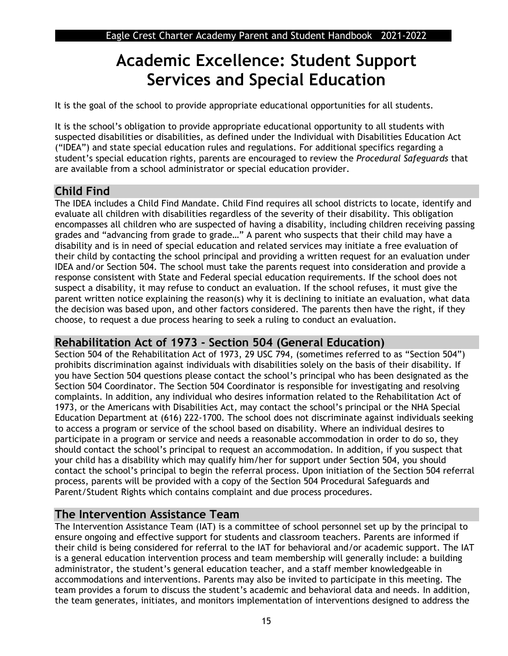## **Academic Excellence: Student Support Services and Special Education**

It is the goal of the school to provide appropriate educational opportunities for all students.

It is the school's obligation to provide appropriate educational opportunity to all students with suspected disabilities or disabilities, as defined under the Individual with Disabilities Education Act ("IDEA") and state special education rules and regulations. For additional specifics regarding a student's special education rights, parents are encouraged to review the *Procedural Safeguards* that are available from a school administrator or special education provider.

## **Child Find**

The IDEA includes a Child Find Mandate. Child Find requires all school districts to locate, identify and evaluate all children with disabilities regardless of the severity of their disability. This obligation encompasses all children who are suspected of having a disability, including children receiving passing grades and "advancing from grade to grade…" A parent who suspects that their child may have a disability and is in need of special education and related services may initiate a free evaluation of their child by contacting the school principal and providing a written request for an evaluation under IDEA and/or Section 504. The school must take the parents request into consideration and provide a response consistent with State and Federal special education requirements. If the school does not suspect a disability, it may refuse to conduct an evaluation. If the school refuses, it must give the parent written notice explaining the reason(s) why it is declining to initiate an evaluation, what data the decision was based upon, and other factors considered. The parents then have the right, if they choose, to request a due process hearing to seek a ruling to conduct an evaluation.

## **Rehabilitation Act of 1973 - Section 504 (General Education)**

Section 504 of the Rehabilitation Act of 1973, 29 USC 794, (sometimes referred to as "Section 504") prohibits discrimination against individuals with disabilities solely on the basis of their disability. If you have Section 504 questions please contact the school's principal who has been designated as the Section 504 Coordinator. The Section 504 Coordinator is responsible for investigating and resolving complaints. In addition, any individual who desires information related to the Rehabilitation Act of 1973, or the Americans with Disabilities Act, may contact the school's principal or the NHA Special Education Department at (616) 222-1700. The school does not discriminate against individuals seeking to access a program or service of the school based on disability. Where an individual desires to participate in a program or service and needs a reasonable accommodation in order to do so, they should contact the school's principal to request an accommodation. In addition, if you suspect that your child has a disability which may qualify him/her for support under Section 504, you should contact the school's principal to begin the referral process. Upon initiation of the Section 504 referral process, parents will be provided with a copy of the Section 504 Procedural Safeguards and Parent/Student Rights which contains complaint and due process procedures.

## **The Intervention Assistance Team**

The Intervention Assistance Team (IAT) is a committee of school personnel set up by the principal to ensure ongoing and effective support for students and classroom teachers. Parents are informed if their child is being considered for referral to the IAT for behavioral and/or academic support. The IAT is a general education intervention process and team membership will generally include: a building administrator, the student's general education teacher, and a staff member knowledgeable in accommodations and interventions. Parents may also be invited to participate in this meeting. The team provides a forum to discuss the student's academic and behavioral data and needs. In addition, the team generates, initiates, and monitors implementation of interventions designed to address the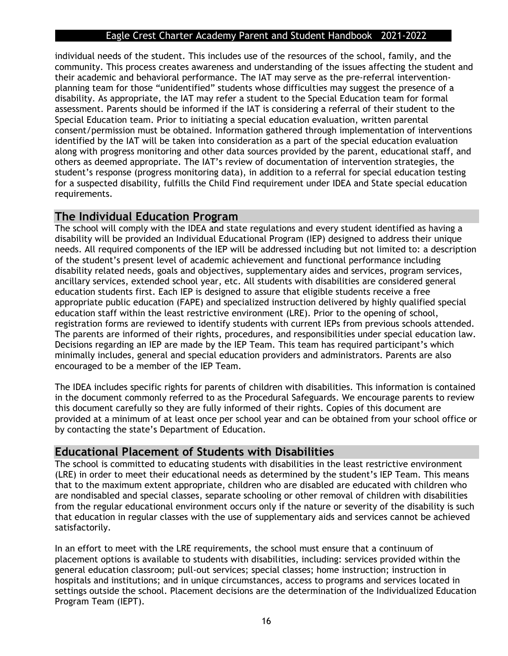individual needs of the student. This includes use of the resources of the school, family, and the community. This process creates awareness and understanding of the issues affecting the student and their academic and behavioral performance. The IAT may serve as the pre-referral interventionplanning team for those "unidentified" students whose difficulties may suggest the presence of a disability. As appropriate, the IAT may refer a student to the Special Education team for formal assessment. Parents should be informed if the IAT is considering a referral of their student to the Special Education team. Prior to initiating a special education evaluation, written parental consent/permission must be obtained. Information gathered through implementation of interventions identified by the IAT will be taken into consideration as a part of the special education evaluation along with progress monitoring and other data sources provided by the parent, educational staff, and others as deemed appropriate. The IAT's review of documentation of intervention strategies, the student's response (progress monitoring data), in addition to a referral for special education testing for a suspected disability, fulfills the Child Find requirement under IDEA and State special education requirements.

### **The Individual Education Program**

The school will comply with the IDEA and state regulations and every student identified as having a disability will be provided an Individual Educational Program (IEP) designed to address their unique needs. All required components of the IEP will be addressed including but not limited to: a description of the student's present level of academic achievement and functional performance including disability related needs, goals and objectives, supplementary aides and services, program services, ancillary services, extended school year, etc. All students with disabilities are considered general education students first. Each IEP is designed to assure that eligible students receive a free appropriate public education (FAPE) and specialized instruction delivered by highly qualified special education staff within the least restrictive environment (LRE). Prior to the opening of school, registration forms are reviewed to identify students with current IEPs from previous schools attended. The parents are informed of their rights, procedures, and responsibilities under special education law. Decisions regarding an IEP are made by the IEP Team. This team has required participant's which minimally includes, general and special education providers and administrators. Parents are also encouraged to be a member of the IEP Team.

The IDEA includes specific rights for parents of children with disabilities. This information is contained in the document commonly referred to as the Procedural Safeguards. We encourage parents to review this document carefully so they are fully informed of their rights. Copies of this document are provided at a minimum of at least once per school year and can be obtained from your school office or by contacting the state's Department of Education.

## **Educational Placement of Students with Disabilities**

The school is committed to educating students with disabilities in the least restrictive environment (LRE) in order to meet their educational needs as determined by the student's IEP Team. This means that to the maximum extent appropriate, children who are disabled are educated with children who are nondisabled and special classes, separate schooling or other removal of children with disabilities from the regular educational environment occurs only if the nature or severity of the disability is such that education in regular classes with the use of supplementary aids and services cannot be achieved satisfactorily.

In an effort to meet with the LRE requirements, the school must ensure that a continuum of placement options is available to students with disabilities, including: services provided within the general education classroom; pull-out services; special classes; home instruction; instruction in hospitals and institutions; and in unique circumstances, access to programs and services located in settings outside the school. Placement decisions are the determination of the Individualized Education Program Team (IEPT).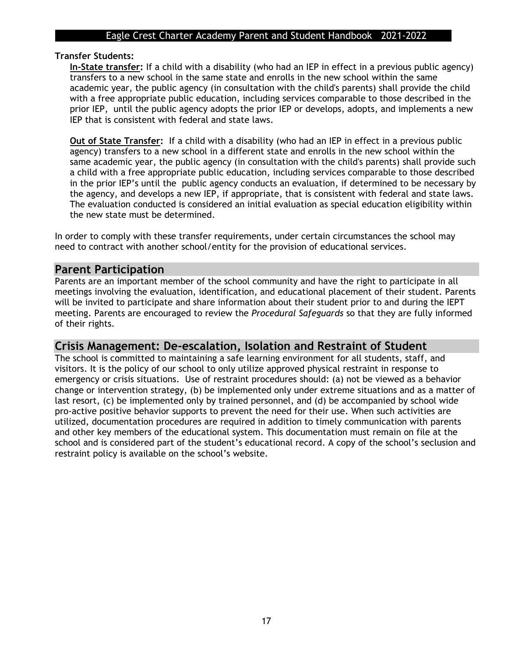#### **Transfer Students:**

**In-State transfer:** If a child with a disability (who had an IEP in effect in a previous public agency) transfers to a new school in the same state and enrolls in the new school within the same academic year, the public agency (in consultation with the child's parents) shall provide the child with a free appropriate public education, including services comparable to those described in the prior IEP, until the public agency adopts the prior IEP or develops, adopts, and implements a new IEP that is consistent with federal and state laws.

**Out of State Transfer:** If a child with a disability (who had an IEP in effect in a previous public agency) transfers to a new school in a different state and enrolls in the new school within the same academic year, the public agency (in consultation with the child's parents) shall provide such a child with a free appropriate public education, including services comparable to those described in the prior IEP's until the public agency conducts an evaluation, if determined to be necessary by the agency, and develops a new IEP, if appropriate, that is consistent with federal and state laws. The evaluation conducted is considered an initial evaluation as special education eligibility within the new state must be determined.

In order to comply with these transfer requirements, under certain circumstances the school may need to contract with another school/entity for the provision of educational services.

#### **Parent Participation**

Parents are an important member of the school community and have the right to participate in all meetings involving the evaluation, identification, and educational placement of their student. Parents will be invited to participate and share information about their student prior to and during the IEPT meeting. Parents are encouraged to review the *Procedural Safeguards* so that they are fully informed of their rights.

## **Crisis Management: De-escalation, Isolation and Restraint of Student**

The school is committed to maintaining a safe learning environment for all students, staff, and visitors. It is the policy of our school to only utilize approved physical restraint in response to emergency or crisis situations. Use of restraint procedures should: (a) not be viewed as a behavior change or intervention strategy, (b) be implemented only under extreme situations and as a matter of last resort, (c) be implemented only by trained personnel, and (d) be accompanied by school wide pro-active positive behavior supports to prevent the need for their use. When such activities are utilized, documentation procedures are required in addition to timely communication with parents and other key members of the educational system. This documentation must remain on file at the school and is considered part of the student's educational record. A copy of the school's seclusion and restraint policy is available on the school's website.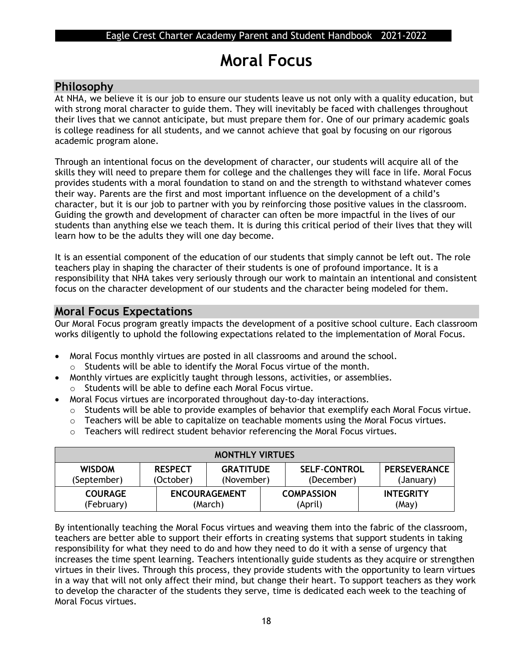## **Moral Focus**

## **Philosophy**

At NHA, we believe it is our job to ensure our students leave us not only with a quality education, but with strong moral character to guide them. They will inevitably be faced with challenges throughout their lives that we cannot anticipate, but must prepare them for. One of our primary academic goals is college readiness for all students, and we cannot achieve that goal by focusing on our rigorous academic program alone.

Through an intentional focus on the development of character, our students will acquire all of the skills they will need to prepare them for college and the challenges they will face in life. Moral Focus provides students with a moral foundation to stand on and the strength to withstand whatever comes their way. Parents are the first and most important influence on the development of a child's character, but it is our job to partner with you by reinforcing those positive values in the classroom. Guiding the growth and development of character can often be more impactful in the lives of our students than anything else we teach them. It is during this critical period of their lives that they will learn how to be the adults they will one day become.

It is an essential component of the education of our students that simply cannot be left out. The role teachers play in shaping the character of their students is one of profound importance. It is a responsibility that NHA takes very seriously through our work to maintain an intentional and consistent focus on the character development of our students and the character being modeled for them.

## **Moral Focus Expectations**

Our Moral Focus program greatly impacts the development of a positive school culture. Each classroom works diligently to uphold the following expectations related to the implementation of Moral Focus.

- Moral Focus monthly virtues are posted in all classrooms and around the school. o Students will be able to identify the Moral Focus virtue of the month.
- Monthly virtues are explicitly taught through lessons, activities, or assemblies.
- o Students will be able to define each Moral Focus virtue.
- Moral Focus virtues are incorporated throughout day-to-day interactions.
	- o Students will be able to provide examples of behavior that exemplify each Moral Focus virtue.
	- $\circ$  Teachers will be able to capitalize on teachable moments using the Moral Focus virtues.
	- o Teachers will redirect student behavior referencing the Moral Focus virtues.

| <b>MONTHLY VIRTUES</b>       |                             |                                 |  |                                   |  |                                  |
|------------------------------|-----------------------------|---------------------------------|--|-----------------------------------|--|----------------------------------|
| <b>WISDOM</b><br>(September) | <b>RESPECT</b><br>(October) | <b>GRATITUDE</b><br>(November)  |  | <b>SELF-CONTROL</b><br>(December) |  | <b>PERSEVERANCE</b><br>(January) |
| <b>COURAGE</b><br>(February) |                             | <b>ENCOURAGEMENT</b><br>(March) |  | <b>COMPASSION</b><br>(April)      |  | <b>INTEGRITY</b><br>(May)        |

By intentionally teaching the Moral Focus virtues and weaving them into the fabric of the classroom, teachers are better able to support their efforts in creating systems that support students in taking responsibility for what they need to do and how they need to do it with a sense of urgency that increases the time spent learning. Teachers intentionally guide students as they acquire or strengthen virtues in their lives. Through this process, they provide students with the opportunity to learn virtues in a way that will not only affect their mind, but change their heart. To support teachers as they work to develop the character of the students they serve, time is dedicated each week to the teaching of Moral Focus virtues.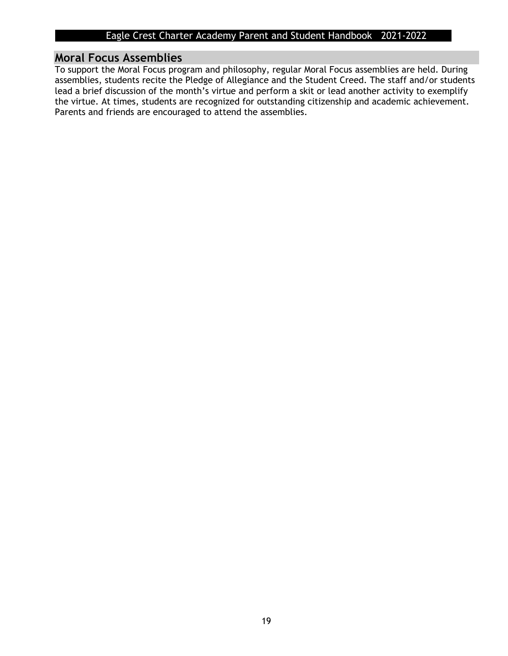### **Moral Focus Assemblies**

To support the Moral Focus program and philosophy, regular Moral Focus assemblies are held. During assemblies, students recite the Pledge of Allegiance and the Student Creed. The staff and/or students lead a brief discussion of the month's virtue and perform a skit or lead another activity to exemplify the virtue. At times, students are recognized for outstanding citizenship and academic achievement. Parents and friends are encouraged to attend the assemblies.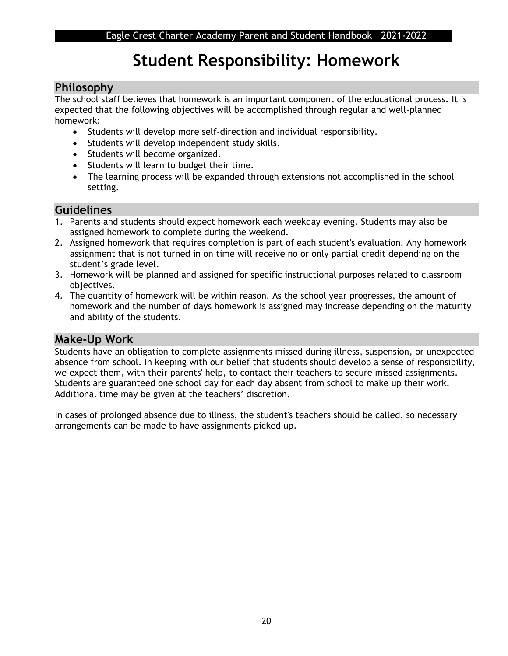## **Student Responsibility: Homework**

## **Philosophy**

The school staff believes that homework is an important component of the educational process. It is expected that the following objectives will be accomplished through regular and well-planned homework:

- Students will develop more self-direction and individual responsibility.
- Students will develop independent study skills.
- Students will become organized.
- Students will learn to budget their time.
- The learning process will be expanded through extensions not accomplished in the school setting.

## **Guidelines**

- 1. Parents and students should expect homework each weekday evening. Students may also be assigned homework to complete during the weekend.
- 2. Assigned homework that requires completion is part of each student's evaluation. Any homework assignment that is not turned in on time will receive no or only partial credit depending on the student's grade level.
- 3. Homework will be planned and assigned for specific instructional purposes related to classroom objectives.
- 4. The quantity of homework will be within reason. As the school year progresses, the amount of homework and the number of days homework is assigned may increase depending on the maturity and ability of the students.

## **Make-Up Work**

Students have an obligation to complete assignments missed during illness, suspension, or unexpected absence from school. In keeping with our belief that students should develop a sense of responsibility, we expect them, with their parents' help, to contact their teachers to secure missed assignments. Students are guaranteed one school day for each day absent from school to make up their work. Additional time may be given at the teachers' discretion.

In cases of prolonged absence due to illness, the student's teachers should be called, so necessary arrangements can be made to have assignments picked up.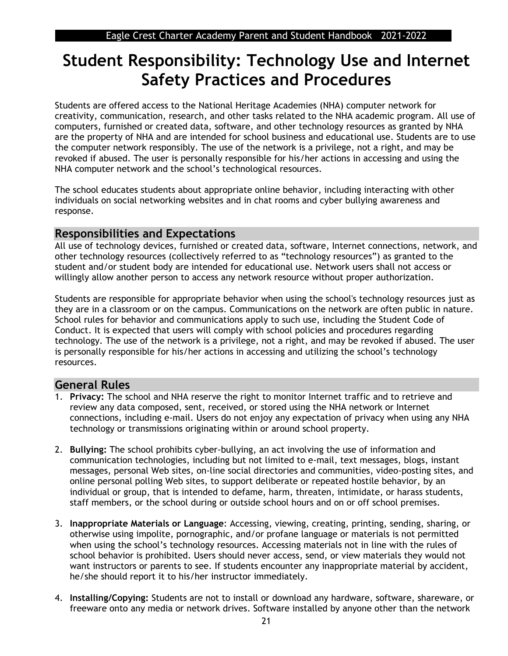## **Student Responsibility: Technology Use and Internet Safety Practices and Procedures**

Students are offered access to the National Heritage Academies (NHA) computer network for creativity, communication, research, and other tasks related to the NHA academic program. All use of computers, furnished or created data, software, and other technology resources as granted by NHA are the property of NHA and are intended for school business and educational use. Students are to use the computer network responsibly. The use of the network is a privilege, not a right, and may be revoked if abused. The user is personally responsible for his/her actions in accessing and using the NHA computer network and the school's technological resources.

The school educates students about appropriate online behavior, including interacting with other individuals on social networking websites and in chat rooms and cyber bullying awareness and response.

## **Responsibilities and Expectations**

All use of technology devices, furnished or created data, software, Internet connections, network, and other technology resources (collectively referred to as "technology resources") as granted to the student and/or student body are intended for educational use. Network users shall not access or willingly allow another person to access any network resource without proper authorization.

Students are responsible for appropriate behavior when using the school's technology resources just as they are in a classroom or on the campus. Communications on the network are often public in nature. School rules for behavior and communications apply to such use, including the Student Code of Conduct. It is expected that users will comply with school policies and procedures regarding technology. The use of the network is a privilege, not a right, and may be revoked if abused. The user is personally responsible for his/her actions in accessing and utilizing the school's technology resources.

## **General Rules**

- 1. **Privacy:** The school and NHA reserve the right to monitor Internet traffic and to retrieve and review any data composed, sent, received, or stored using the NHA network or Internet connections, including e-mail. Users do not enjoy any expectation of privacy when using any NHA technology or transmissions originating within or around school property.
- 2. **Bullying:** The school prohibits cyber-bullying, an act involving the use of information and communication technologies, including but not limited to e-mail, text messages, blogs, instant messages, personal Web sites, on-line social directories and communities, video-posting sites, and online personal polling Web sites, to support deliberate or repeated hostile behavior, by an individual or group, that is intended to defame, harm, threaten, intimidate, or harass students, staff members, or the school during or outside school hours and on or off school premises.
- 3. **Inappropriate Materials or Language**: Accessing, viewing, creating, printing, sending, sharing, or otherwise using impolite, pornographic, and/or profane language or materials is not permitted when using the school's technology resources. Accessing materials not in line with the rules of school behavior is prohibited. Users should never access, send, or view materials they would not want instructors or parents to see. If students encounter any inappropriate material by accident, he/she should report it to his/her instructor immediately.
- 4. **Installing/Copying:** Students are not to install or download any hardware, software, shareware, or freeware onto any media or network drives. Software installed by anyone other than the network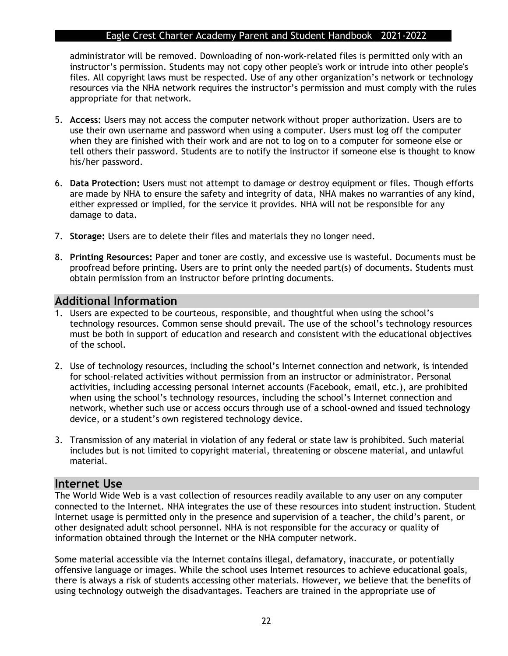administrator will be removed. Downloading of non-work-related files is permitted only with an instructor's permission. Students may not copy other people's work or intrude into other people's files. All copyright laws must be respected. Use of any other organization's network or technology resources via the NHA network requires the instructor's permission and must comply with the rules appropriate for that network.

- 5. **Access:** Users may not access the computer network without proper authorization. Users are to use their own username and password when using a computer. Users must log off the computer when they are finished with their work and are not to log on to a computer for someone else or tell others their password. Students are to notify the instructor if someone else is thought to know his/her password.
- 6. **Data Protection:** Users must not attempt to damage or destroy equipment or files. Though efforts are made by NHA to ensure the safety and integrity of data, NHA makes no warranties of any kind, either expressed or implied, for the service it provides. NHA will not be responsible for any damage to data.
- 7. **Storage:** Users are to delete their files and materials they no longer need.
- 8. **Printing Resources:** Paper and toner are costly, and excessive use is wasteful. Documents must be proofread before printing. Users are to print only the needed part(s) of documents. Students must obtain permission from an instructor before printing documents.

## **Additional Information**

- 1. Users are expected to be courteous, responsible, and thoughtful when using the school's technology resources. Common sense should prevail. The use of the school's technology resources must be both in support of education and research and consistent with the educational objectives of the school.
- 2. Use of technology resources, including the school's Internet connection and network, is intended for school-related activities without permission from an instructor or administrator. Personal activities, including accessing personal internet accounts (Facebook, email, etc.), are prohibited when using the school's technology resources, including the school's Internet connection and network, whether such use or access occurs through use of a school-owned and issued technology device, or a student's own registered technology device.
- 3. Transmission of any material in violation of any federal or state law is prohibited. Such material includes but is not limited to copyright material, threatening or obscene material, and unlawful material.

#### **Internet Use**

The World Wide Web is a vast collection of resources readily available to any user on any computer connected to the Internet. NHA integrates the use of these resources into student instruction. Student Internet usage is permitted only in the presence and supervision of a teacher, the child's parent, or other designated adult school personnel. NHA is not responsible for the accuracy or quality of information obtained through the Internet or the NHA computer network.

Some material accessible via the Internet contains illegal, defamatory, inaccurate, or potentially offensive language or images. While the school uses Internet resources to achieve educational goals, there is always a risk of students accessing other materials. However, we believe that the benefits of using technology outweigh the disadvantages. Teachers are trained in the appropriate use of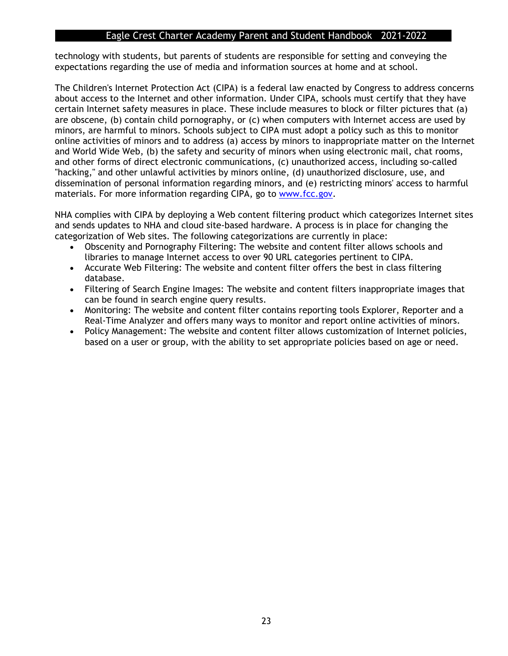technology with students, but parents of students are responsible for setting and conveying the expectations regarding the use of media and information sources at home and at school.

The Children's Internet Protection Act (CIPA) is a federal law enacted by Congress to address concerns about access to the Internet and other information. Under CIPA, schools must certify that they have certain Internet safety measures in place. These include measures to block or filter pictures that (a) are obscene, (b) contain child pornography, or (c) when computers with Internet access are used by minors, are harmful to minors. Schools subject to CIPA must adopt a policy such as this to monitor online activities of minors and to address (a) access by minors to inappropriate matter on the Internet and World Wide Web, (b) the safety and security of minors when using electronic mail, chat rooms, and other forms of direct electronic communications, (c) unauthorized access, including so-called "hacking," and other unlawful activities by minors online, (d) unauthorized disclosure, use, and dissemination of personal information regarding minors, and (e) restricting minors' access to harmful materials. For more information regarding CIPA, go to [www.fcc.gov.](http://www.fcc.gov/)

NHA complies with CIPA by deploying a Web content filtering product which categorizes Internet sites and sends updates to NHA and cloud site-based hardware. A process is in place for changing the categorization of Web sites. The following categorizations are currently in place:

- Obscenity and Pornography Filtering: The website and content filter allows schools and libraries to manage Internet access to over 90 URL categories pertinent to CIPA.
- Accurate Web Filtering: The website and content filter offers the best in class filtering database.
- Filtering of Search Engine Images: The website and content filters inappropriate images that can be found in search engine query results.
- Monitoring: The website and content filter contains reporting tools Explorer, Reporter and a Real-Time Analyzer and offers many ways to monitor and report online activities of minors.
- Policy Management: The website and content filter allows customization of Internet policies, based on a user or group, with the ability to set appropriate policies based on age or need.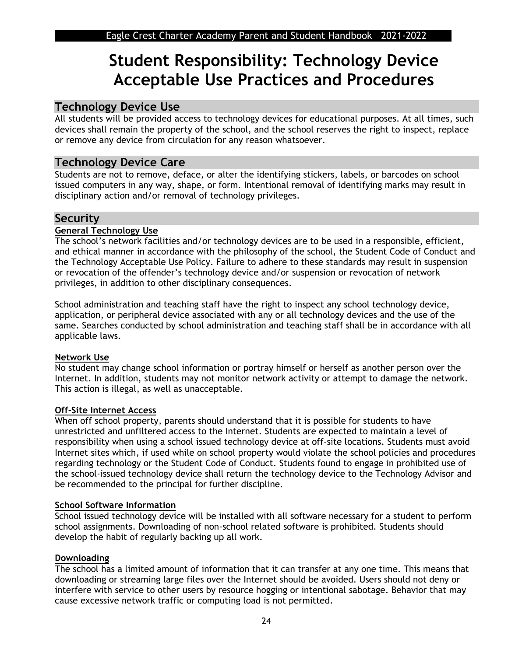## **Student Responsibility: Technology Device Acceptable Use Practices and Procedures**

## **Technology Device Use**

All students will be provided access to technology devices for educational purposes. At all times, such devices shall remain the property of the school, and the school reserves the right to inspect, replace or remove any device from circulation for any reason whatsoever.

## **Technology Device Care**

Students are not to remove, deface, or alter the identifying stickers, labels, or barcodes on school issued computers in any way, shape, or form. Intentional removal of identifying marks may result in disciplinary action and/or removal of technology privileges.

## **Security**

#### **General Technology Use**

The school's network facilities and/or technology devices are to be used in a responsible, efficient, and ethical manner in accordance with the philosophy of the school, the Student Code of Conduct and the Technology Acceptable Use Policy. Failure to adhere to these standards may result in suspension or revocation of the offender's technology device and/or suspension or revocation of network privileges, in addition to other disciplinary consequences.

School administration and teaching staff have the right to inspect any school technology device, application, or peripheral device associated with any or all technology devices and the use of the same. Searches conducted by school administration and teaching staff shall be in accordance with all applicable laws.

#### **Network Use**

No student may change school information or portray himself or herself as another person over the Internet. In addition, students may not monitor network activity or attempt to damage the network. This action is illegal, as well as unacceptable.

#### **Off-Site Internet Access**

When off school property, parents should understand that it is possible for students to have unrestricted and unfiltered access to the Internet. Students are expected to maintain a level of responsibility when using a school issued technology device at off-site locations. Students must avoid Internet sites which, if used while on school property would violate the school policies and procedures regarding technology or the Student Code of Conduct. Students found to engage in prohibited use of the school-issued technology device shall return the technology device to the Technology Advisor and be recommended to the principal for further discipline.

#### **School Software Information**

School issued technology device will be installed with all software necessary for a student to perform school assignments. Downloading of non-school related software is prohibited. Students should develop the habit of regularly backing up all work.

#### **Downloading**

The school has a limited amount of information that it can transfer at any one time. This means that downloading or streaming large files over the Internet should be avoided. Users should not deny or interfere with service to other users by resource hogging or intentional sabotage. Behavior that may cause excessive network traffic or computing load is not permitted.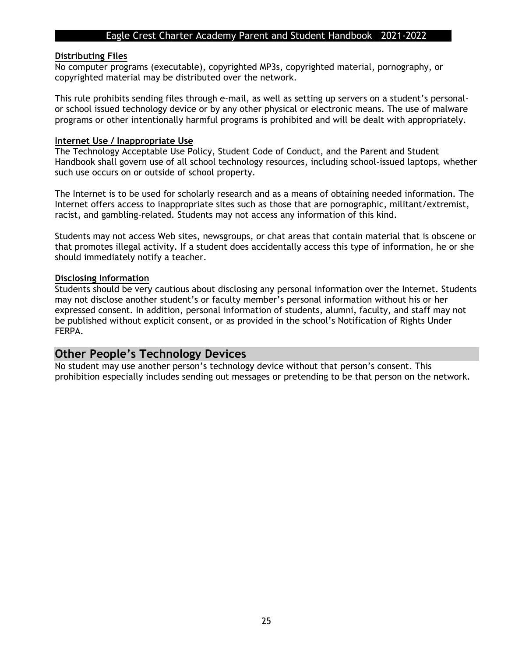#### **Distributing Files**

No computer programs (executable), copyrighted MP3s, copyrighted material, pornography, or copyrighted material may be distributed over the network.

This rule prohibits sending files through e-mail, as well as setting up servers on a student's personalor school issued technology device or by any other physical or electronic means. The use of malware programs or other intentionally harmful programs is prohibited and will be dealt with appropriately.

#### **Internet Use / Inappropriate Use**

The Technology Acceptable Use Policy, Student Code of Conduct, and the Parent and Student Handbook shall govern use of all school technology resources, including school-issued laptops, whether such use occurs on or outside of school property.

The Internet is to be used for scholarly research and as a means of obtaining needed information. The Internet offers access to inappropriate sites such as those that are pornographic, militant/extremist, racist, and gambling-related. Students may not access any information of this kind.

Students may not access Web sites, newsgroups, or chat areas that contain material that is obscene or that promotes illegal activity. If a student does accidentally access this type of information, he or she should immediately notify a teacher.

#### **Disclosing Information**

Students should be very cautious about disclosing any personal information over the Internet. Students may not disclose another student's or faculty member's personal information without his or her expressed consent. In addition, personal information of students, alumni, faculty, and staff may not be published without explicit consent, or as provided in the school's Notification of Rights Under FERPA.

#### **Other People's Technology Devices**

No student may use another person's technology device without that person's consent. This prohibition especially includes sending out messages or pretending to be that person on the network.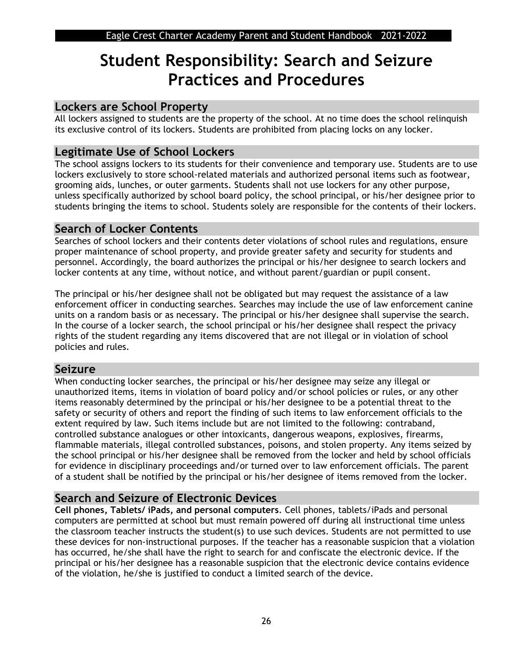## **Student Responsibility: Search and Seizure Practices and Procedures**

## **Lockers are School Property**

All lockers assigned to students are the property of the school. At no time does the school relinquish its exclusive control of its lockers. Students are prohibited from placing locks on any locker.

## **Legitimate Use of School Lockers**

The school assigns lockers to its students for their convenience and temporary use. Students are to use lockers exclusively to store school-related materials and authorized personal items such as footwear, grooming aids, lunches, or outer garments. Students shall not use lockers for any other purpose, unless specifically authorized by school board policy, the school principal, or his/her designee prior to students bringing the items to school. Students solely are responsible for the contents of their lockers.

## **Search of Locker Contents**

Searches of school lockers and their contents deter violations of school rules and regulations, ensure proper maintenance of school property, and provide greater safety and security for students and personnel. Accordingly, the board authorizes the principal or his/her designee to search lockers and locker contents at any time, without notice, and without parent/guardian or pupil consent.

The principal or his/her designee shall not be obligated but may request the assistance of a law enforcement officer in conducting searches. Searches may include the use of law enforcement canine units on a random basis or as necessary. The principal or his/her designee shall supervise the search. In the course of a locker search, the school principal or his/her designee shall respect the privacy rights of the student regarding any items discovered that are not illegal or in violation of school policies and rules.

## **Seizure**

When conducting locker searches, the principal or his/her designee may seize any illegal or unauthorized items, items in violation of board policy and/or school policies or rules, or any other items reasonably determined by the principal or his/her designee to be a potential threat to the safety or security of others and report the finding of such items to law enforcement officials to the extent required by law. Such items include but are not limited to the following: contraband, controlled substance analogues or other intoxicants, dangerous weapons, explosives, firearms, flammable materials, illegal controlled substances, poisons, and stolen property. Any items seized by the school principal or his/her designee shall be removed from the locker and held by school officials for evidence in disciplinary proceedings and/or turned over to law enforcement officials. The parent of a student shall be notified by the principal or his/her designee of items removed from the locker.

## **Search and Seizure of Electronic Devices**

**Cell phones, Tablets/ iPads, and personal computers**. Cell phones, tablets/iPads and personal computers are permitted at school but must remain powered off during all instructional time unless the classroom teacher instructs the student(s) to use such devices. Students are not permitted to use these devices for non-instructional purposes. If the teacher has a reasonable suspicion that a violation has occurred, he/she shall have the right to search for and confiscate the electronic device. If the principal or his/her designee has a reasonable suspicion that the electronic device contains evidence of the violation, he/she is justified to conduct a limited search of the device.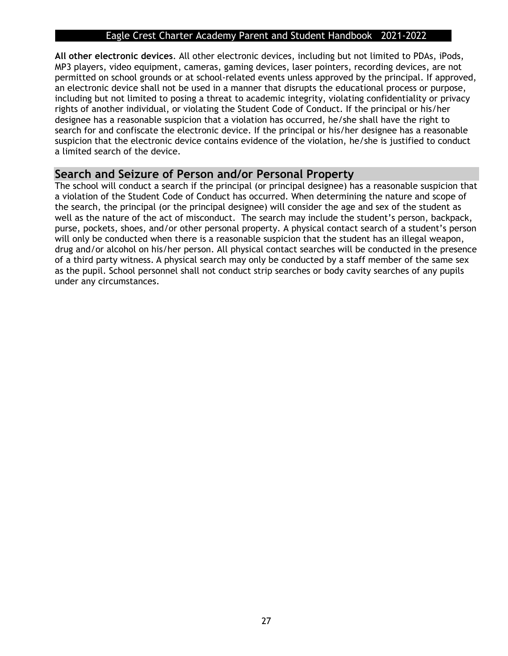**All other electronic devices**. All other electronic devices, including but not limited to PDAs, iPods, MP3 players, video equipment, cameras, gaming devices, laser pointers, recording devices, are not permitted on school grounds or at school-related events unless approved by the principal. If approved, an electronic device shall not be used in a manner that disrupts the educational process or purpose, including but not limited to posing a threat to academic integrity, violating confidentiality or privacy rights of another individual, or violating the Student Code of Conduct. If the principal or his/her designee has a reasonable suspicion that a violation has occurred, he/she shall have the right to search for and confiscate the electronic device. If the principal or his/her designee has a reasonable suspicion that the electronic device contains evidence of the violation, he/she is justified to conduct a limited search of the device.

## **Search and Seizure of Person and/or Personal Property**

The school will conduct a search if the principal (or principal designee) has a reasonable suspicion that a violation of the Student Code of Conduct has occurred. When determining the nature and scope of the search, the principal (or the principal designee) will consider the age and sex of the student as well as the nature of the act of misconduct. The search may include the student's person, backpack, purse, pockets, shoes, and/or other personal property. A physical contact search of a student's person will only be conducted when there is a reasonable suspicion that the student has an illegal weapon, drug and/or alcohol on his/her person. All physical contact searches will be conducted in the presence of a third party witness. A physical search may only be conducted by a staff member of the same sex as the pupil. School personnel shall not conduct strip searches or body cavity searches of any pupils under any circumstances.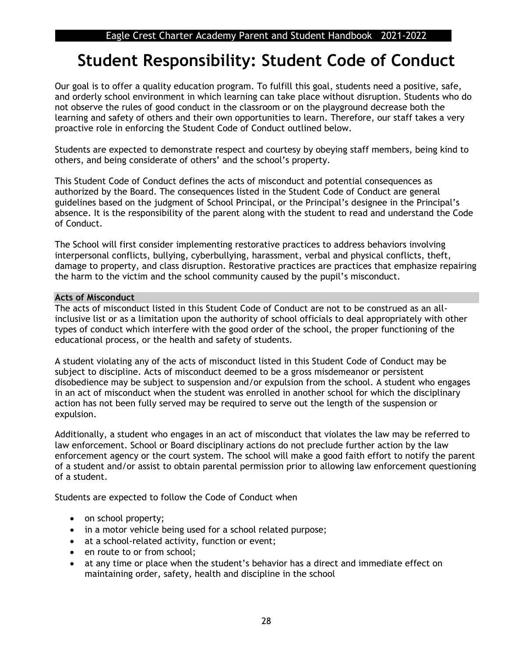## **Student Responsibility: Student Code of Conduct**

Our goal is to offer a quality education program. To fulfill this goal, students need a positive, safe, and orderly school environment in which learning can take place without disruption. Students who do not observe the rules of good conduct in the classroom or on the playground decrease both the learning and safety of others and their own opportunities to learn. Therefore, our staff takes a very proactive role in enforcing the Student Code of Conduct outlined below.

Students are expected to demonstrate respect and courtesy by obeying staff members, being kind to others, and being considerate of others' and the school's property.

This Student Code of Conduct defines the acts of misconduct and potential consequences as authorized by the Board. The consequences listed in the Student Code of Conduct are general guidelines based on the judgment of School Principal, or the Principal's designee in the Principal's absence. It is the responsibility of the parent along with the student to read and understand the Code of Conduct.

The School will first consider implementing restorative practices to address behaviors involving interpersonal conflicts, bullying, cyberbullying, harassment, verbal and physical conflicts, theft, damage to property, and class disruption. Restorative practices are practices that emphasize repairing the harm to the victim and the school community caused by the pupil's misconduct.

#### **Acts of Misconduct**

The acts of misconduct listed in this Student Code of Conduct are not to be construed as an allinclusive list or as a limitation upon the authority of school officials to deal appropriately with other types of conduct which interfere with the good order of the school, the proper functioning of the educational process, or the health and safety of students.

A student violating any of the acts of misconduct listed in this Student Code of Conduct may be subject to discipline. Acts of misconduct deemed to be a gross misdemeanor or persistent disobedience may be subject to suspension and/or expulsion from the school. A student who engages in an act of misconduct when the student was enrolled in another school for which the disciplinary action has not been fully served may be required to serve out the length of the suspension or expulsion.

Additionally, a student who engages in an act of misconduct that violates the law may be referred to law enforcement. School or Board disciplinary actions do not preclude further action by the law enforcement agency or the court system. The school will make a good faith effort to notify the parent of a student and/or assist to obtain parental permission prior to allowing law enforcement questioning of a student.

Students are expected to follow the Code of Conduct when

- on school property;
- in a motor vehicle being used for a school related purpose;
- at a school-related activity, function or event;
- en route to or from school:
- at any time or place when the student's behavior has a direct and immediate effect on maintaining order, safety, health and discipline in the school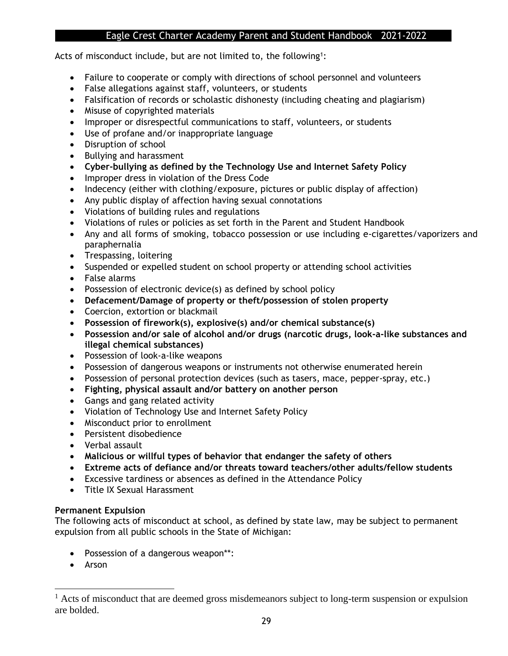Acts of misconduct include, but are not limited to, the following<sup>1</sup>:

- Failure to cooperate or comply with directions of school personnel and volunteers
- False allegations against staff, volunteers, or students
- Falsification of records or scholastic dishonesty (including cheating and plagiarism)
- Misuse of copyrighted materials
- Improper or disrespectful communications to staff, volunteers, or students
- Use of profane and/or inappropriate language
- Disruption of school
- Bullying and harassment
- **Cyber-bullying as defined by the Technology Use and Internet Safety Policy**
- Improper dress in violation of the Dress Code
- Indecency (either with clothing/exposure, pictures or public display of affection)
- Any public display of affection having sexual connotations
- Violations of building rules and regulations
- Violations of rules or policies as set forth in the Parent and Student Handbook
- Any and all forms of smoking, tobacco possession or use including e-cigarettes/vaporizers and paraphernalia
- Trespassing, loitering
- Suspended or expelled student on school property or attending school activities
- False alarms
- Possession of electronic device(s) as defined by school policy
- **Defacement/Damage of property or theft/possession of stolen property**
- Coercion, extortion or blackmail
- **Possession of firework(s), explosive(s) and/or chemical substance(s)**
- **Possession and/or sale of alcohol and/or drugs (narcotic drugs, look-a-like substances and illegal chemical substances)**
- Possession of look-a-like weapons
- Possession of dangerous weapons or instruments not otherwise enumerated herein
- Possession of personal protection devices (such as tasers, mace, pepper-spray, etc.)
- **Fighting, physical assault and/or battery on another person**
- Gangs and gang related activity
- Violation of Technology Use and Internet Safety Policy
- Misconduct prior to enrollment
- Persistent disobedience
- Verbal assault
- **Malicious or willful types of behavior that endanger the safety of others**
- **Extreme acts of defiance and/or threats toward teachers/other adults/fellow students**
- Excessive tardiness or absences as defined in the Attendance Policy
- Title IX Sexual Harassment

#### **Permanent Expulsion**

The following acts of misconduct at school, as defined by state law, may be subject to permanent expulsion from all public schools in the State of Michigan:

- Possession of a dangerous weapon\*\*:
- Arson

 $<sup>1</sup>$  Acts of misconduct that are deemed gross misdemeanors subject to long-term suspension or expulsion</sup> are bolded.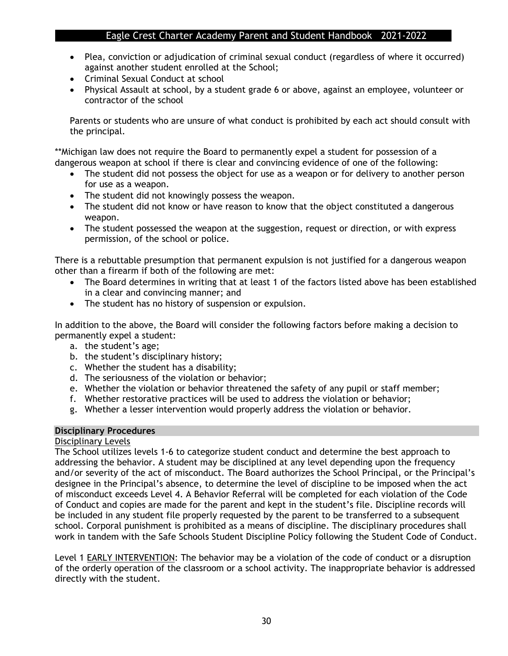- Plea, conviction or adjudication of criminal sexual conduct (regardless of where it occurred) against another student enrolled at the School;
- Criminal Sexual Conduct at school
- Physical Assault at school, by a student grade 6 or above, against an employee, volunteer or contractor of the school

Parents or students who are unsure of what conduct is prohibited by each act should consult with the principal.

\*\*Michigan law does not require the Board to permanently expel a student for possession of a dangerous weapon at school if there is clear and convincing evidence of one of the following:

- The student did not possess the object for use as a weapon or for delivery to another person for use as a weapon.
- The student did not knowingly possess the weapon.
- The student did not know or have reason to know that the object constituted a dangerous weapon.
- The student possessed the weapon at the suggestion, request or direction, or with express permission, of the school or police.

There is a rebuttable presumption that permanent expulsion is not justified for a dangerous weapon other than a firearm if both of the following are met:

- The Board determines in writing that at least 1 of the factors listed above has been established in a clear and convincing manner; and
- The student has no history of suspension or expulsion.

In addition to the above, the Board will consider the following factors before making a decision to permanently expel a student:

- a. the student's age;
- b. the student's disciplinary history;
- c. Whether the student has a disability;
- d. The seriousness of the violation or behavior;
- e. Whether the violation or behavior threatened the safety of any pupil or staff member;
- f. Whether restorative practices will be used to address the violation or behavior;
- g. Whether a lesser intervention would properly address the violation or behavior.

#### **Disciplinary Procedures**

#### Disciplinary Levels

The School utilizes levels 1-6 to categorize student conduct and determine the best approach to addressing the behavior. A student may be disciplined at any level depending upon the frequency and/or severity of the act of misconduct. The Board authorizes the School Principal, or the Principal's designee in the Principal's absence, to determine the level of discipline to be imposed when the act of misconduct exceeds Level 4. A Behavior Referral will be completed for each violation of the Code of Conduct and copies are made for the parent and kept in the student's file. Discipline records will be included in any student file properly requested by the parent to be transferred to a subsequent school. Corporal punishment is prohibited as a means of discipline. The disciplinary procedures shall work in tandem with the Safe Schools Student Discipline Policy following the Student Code of Conduct.

Level 1 EARLY INTERVENTION: The behavior may be a violation of the code of conduct or a disruption of the orderly operation of the classroom or a school activity. The inappropriate behavior is addressed directly with the student.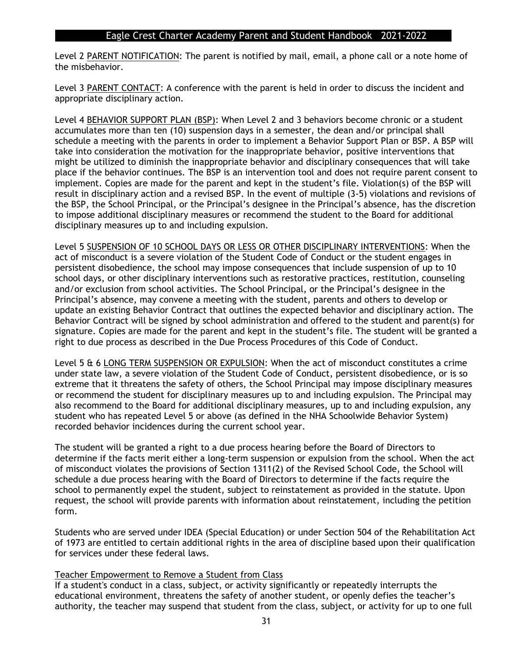Level 2 PARENT NOTIFICATION: The parent is notified by mail, email, a phone call or a note home of the misbehavior.

Level 3 PARENT CONTACT: A conference with the parent is held in order to discuss the incident and appropriate disciplinary action.

Level 4 BEHAVIOR SUPPORT PLAN (BSP): When Level 2 and 3 behaviors become chronic or a student accumulates more than ten (10) suspension days in a semester, the dean and/or principal shall schedule a meeting with the parents in order to implement a Behavior Support Plan or BSP. A BSP will take into consideration the motivation for the inappropriate behavior, positive interventions that might be utilized to diminish the inappropriate behavior and disciplinary consequences that will take place if the behavior continues. The BSP is an intervention tool and does not require parent consent to implement. Copies are made for the parent and kept in the student's file. Violation(s) of the BSP will result in disciplinary action and a revised BSP. In the event of multiple (3-5) violations and revisions of the BSP, the School Principal, or the Principal's designee in the Principal's absence, has the discretion to impose additional disciplinary measures or recommend the student to the Board for additional disciplinary measures up to and including expulsion.

Level 5 SUSPENSION OF 10 SCHOOL DAYS OR LESS OR OTHER DISCIPLINARY INTERVENTIONS: When the act of misconduct is a severe violation of the Student Code of Conduct or the student engages in persistent disobedience, the school may impose consequences that include suspension of up to 10 school days, or other disciplinary interventions such as restorative practices, restitution, counseling and/or exclusion from school activities. The School Principal, or the Principal's designee in the Principal's absence, may convene a meeting with the student, parents and others to develop or update an existing Behavior Contract that outlines the expected behavior and disciplinary action. The Behavior Contract will be signed by school administration and offered to the student and parent(s) for signature. Copies are made for the parent and kept in the student's file. The student will be granted a right to due process as described in the Due Process Procedures of this Code of Conduct.

Level 5 & 6 LONG TERM SUSPENSION OR EXPULSION: When the act of misconduct constitutes a crime under state law, a severe violation of the Student Code of Conduct, persistent disobedience, or is so extreme that it threatens the safety of others, the School Principal may impose disciplinary measures or recommend the student for disciplinary measures up to and including expulsion. The Principal may also recommend to the Board for additional disciplinary measures, up to and including expulsion, any student who has repeated Level 5 or above (as defined in the NHA Schoolwide Behavior System) recorded behavior incidences during the current school year.

The student will be granted a right to a due process hearing before the Board of Directors to determine if the facts merit either a long-term suspension or expulsion from the school. When the act of misconduct violates the provisions of Section 1311(2) of the Revised School Code, the School will schedule a due process hearing with the Board of Directors to determine if the facts require the school to permanently expel the student, subject to reinstatement as provided in the statute. Upon request, the school will provide parents with information about reinstatement, including the petition form.

Students who are served under IDEA (Special Education) or under Section 504 of the Rehabilitation Act of 1973 are entitled to certain additional rights in the area of discipline based upon their qualification for services under these federal laws.

#### Teacher Empowerment to Remove a Student from Class

If a student's conduct in a class, subject, or activity significantly or repeatedly interrupts the educational environment, threatens the safety of another student, or openly defies the teacher's authority, the teacher may suspend that student from the class, subject, or activity for up to one full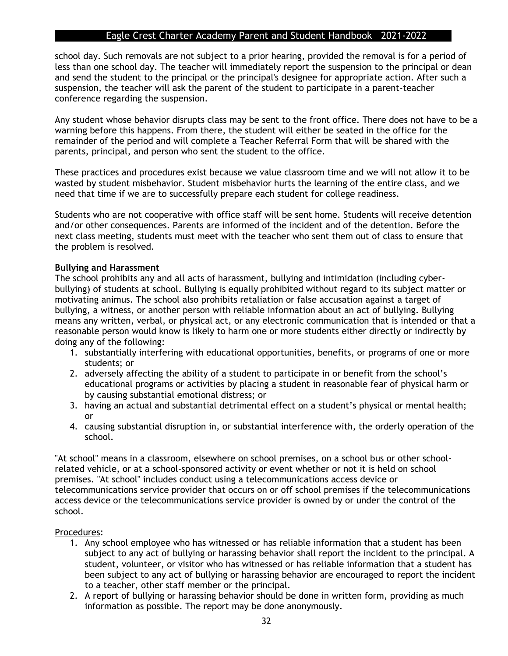school day. Such removals are not subject to a prior hearing, provided the removal is for a period of less than one school day. The teacher will immediately report the suspension to the principal or dean and send the student to the principal or the principal's designee for appropriate action. After such a suspension, the teacher will ask the parent of the student to participate in a parent-teacher conference regarding the suspension.

Any student whose behavior disrupts class may be sent to the front office. There does not have to be a warning before this happens. From there, the student will either be seated in the office for the remainder of the period and will complete a Teacher Referral Form that will be shared with the parents, principal, and person who sent the student to the office.

These practices and procedures exist because we value classroom time and we will not allow it to be wasted by student misbehavior. Student misbehavior hurts the learning of the entire class, and we need that time if we are to successfully prepare each student for college readiness.

Students who are not cooperative with office staff will be sent home. Students will receive detention and/or other consequences. Parents are informed of the incident and of the detention. Before the next class meeting, students must meet with the teacher who sent them out of class to ensure that the problem is resolved.

#### **Bullying and Harassment**

The school prohibits any and all acts of harassment, bullying and intimidation (including cyberbullying) of students at school. Bullying is equally prohibited without regard to its subject matter or motivating animus. The school also prohibits retaliation or false accusation against a target of bullying, a witness, or another person with reliable information about an act of bullying. Bullying means any written, verbal, or physical act, or any electronic communication that is intended or that a reasonable person would know is likely to harm one or more students either directly or indirectly by doing any of the following:

- 1. substantially interfering with educational opportunities, benefits, or programs of one or more students; or
- 2. adversely affecting the ability of a student to participate in or benefit from the school's educational programs or activities by placing a student in reasonable fear of physical harm or by causing substantial emotional distress; or
- 3. having an actual and substantial detrimental effect on a student's physical or mental health; or
- 4. causing substantial disruption in, or substantial interference with, the orderly operation of the school.

"At school" means in a classroom, elsewhere on school premises, on a school bus or other schoolrelated vehicle, or at a school-sponsored activity or event whether or not it is held on school premises. "At school" includes conduct using a telecommunications access device or telecommunications service provider that occurs on or off school premises if the telecommunications access device or the telecommunications service provider is owned by or under the control of the school.

#### Procedures:

- 1. Any school employee who has witnessed or has reliable information that a student has been subject to any act of bullying or harassing behavior shall report the incident to the principal. A student, volunteer, or visitor who has witnessed or has reliable information that a student has been subject to any act of bullying or harassing behavior are encouraged to report the incident to a teacher, other staff member or the principal.
- 2. A report of bullying or harassing behavior should be done in written form, providing as much information as possible. The report may be done anonymously.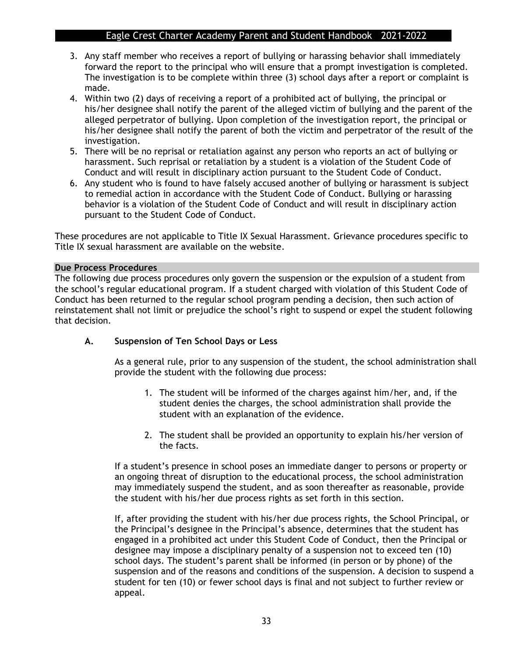- 3. Any staff member who receives a report of bullying or harassing behavior shall immediately forward the report to the principal who will ensure that a prompt investigation is completed. The investigation is to be complete within three (3) school days after a report or complaint is made.
- 4. Within two (2) days of receiving a report of a prohibited act of bullying, the principal or his/her designee shall notify the parent of the alleged victim of bullying and the parent of the alleged perpetrator of bullying. Upon completion of the investigation report, the principal or his/her designee shall notify the parent of both the victim and perpetrator of the result of the investigation.
- 5. There will be no reprisal or retaliation against any person who reports an act of bullying or harassment. Such reprisal or retaliation by a student is a violation of the Student Code of Conduct and will result in disciplinary action pursuant to the Student Code of Conduct.
- 6. Any student who is found to have falsely accused another of bullying or harassment is subject to remedial action in accordance with the Student Code of Conduct. Bullying or harassing behavior is a violation of the Student Code of Conduct and will result in disciplinary action pursuant to the Student Code of Conduct.

These procedures are not applicable to Title IX Sexual Harassment. Grievance procedures specific to Title IX sexual harassment are available on the website.

#### **Due Process Procedures**

The following due process procedures only govern the suspension or the expulsion of a student from the school's regular educational program. If a student charged with violation of this Student Code of Conduct has been returned to the regular school program pending a decision, then such action of reinstatement shall not limit or prejudice the school's right to suspend or expel the student following that decision.

#### **A. Suspension of Ten School Days or Less**

As a general rule, prior to any suspension of the student, the school administration shall provide the student with the following due process:

- 1. The student will be informed of the charges against him/her, and, if the student denies the charges, the school administration shall provide the student with an explanation of the evidence.
- 2. The student shall be provided an opportunity to explain his/her version of the facts.

If a student's presence in school poses an immediate danger to persons or property or an ongoing threat of disruption to the educational process, the school administration may immediately suspend the student, and as soon thereafter as reasonable, provide the student with his/her due process rights as set forth in this section.

If, after providing the student with his/her due process rights, the School Principal, or the Principal's designee in the Principal's absence, determines that the student has engaged in a prohibited act under this Student Code of Conduct, then the Principal or designee may impose a disciplinary penalty of a suspension not to exceed ten (10) school days. The student's parent shall be informed (in person or by phone) of the suspension and of the reasons and conditions of the suspension. A decision to suspend a student for ten (10) or fewer school days is final and not subject to further review or appeal.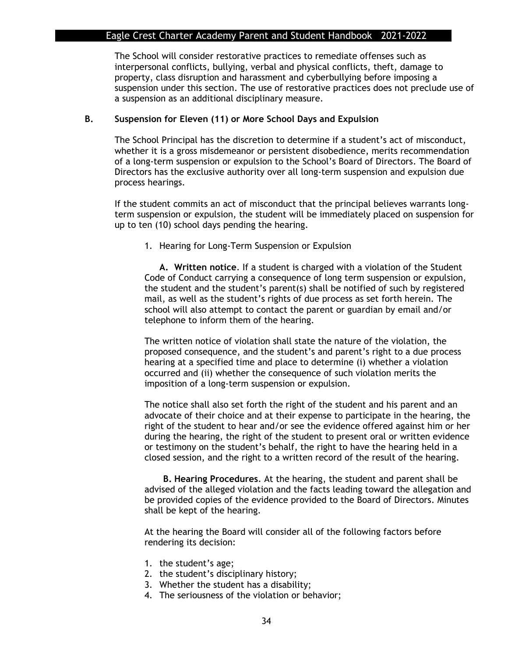The School will consider restorative practices to remediate offenses such as interpersonal conflicts, bullying, verbal and physical conflicts, theft, damage to property, class disruption and harassment and cyberbullying before imposing a suspension under this section. The use of restorative practices does not preclude use of a suspension as an additional disciplinary measure.

#### **B. Suspension for Eleven (11) or More School Days and Expulsion**

The School Principal has the discretion to determine if a student's act of misconduct, whether it is a gross misdemeanor or persistent disobedience, merits recommendation of a long-term suspension or expulsion to the School's Board of Directors. The Board of Directors has the exclusive authority over all long-term suspension and expulsion due process hearings.

If the student commits an act of misconduct that the principal believes warrants longterm suspension or expulsion, the student will be immediately placed on suspension for up to ten (10) school days pending the hearing.

1. Hearing for Long-Term Suspension or Expulsion

**A. Written notice**. If a student is charged with a violation of the Student Code of Conduct carrying a consequence of long term suspension or expulsion, the student and the student's parent(s) shall be notified of such by registered mail, as well as the student's rights of due process as set forth herein. The school will also attempt to contact the parent or guardian by email and/or telephone to inform them of the hearing.

The written notice of violation shall state the nature of the violation, the proposed consequence, and the student's and parent's right to a due process hearing at a specified time and place to determine (i) whether a violation occurred and (ii) whether the consequence of such violation merits the imposition of a long-term suspension or expulsion.

The notice shall also set forth the right of the student and his parent and an advocate of their choice and at their expense to participate in the hearing, the right of the student to hear and/or see the evidence offered against him or her during the hearing, the right of the student to present oral or written evidence or testimony on the student's behalf, the right to have the hearing held in a closed session, and the right to a written record of the result of the hearing.

**B. Hearing Procedures**. At the hearing, the student and parent shall be advised of the alleged violation and the facts leading toward the allegation and be provided copies of the evidence provided to the Board of Directors. Minutes shall be kept of the hearing.

At the hearing the Board will consider all of the following factors before rendering its decision:

- 1. the student's age;
- 2. the student's disciplinary history;
- 3. Whether the student has a disability;
- 4. The seriousness of the violation or behavior;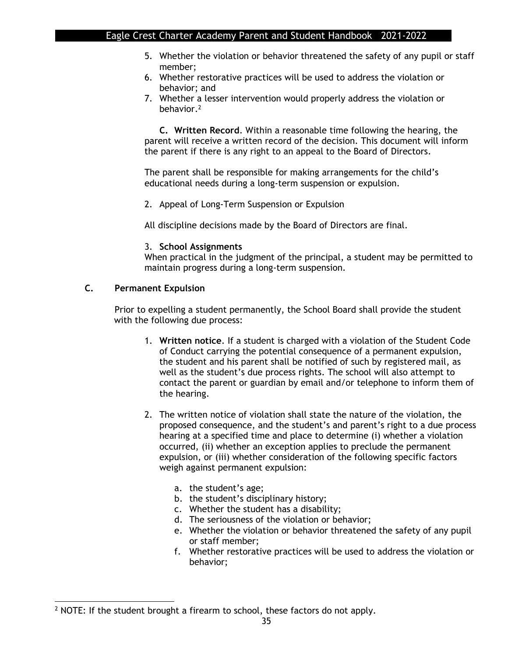- 5. Whether the violation or behavior threatened the safety of any pupil or staff member;
- 6. Whether restorative practices will be used to address the violation or behavior; and
- 7. Whether a lesser intervention would properly address the violation or behavior.<sup>2</sup>

**C. Written Record**. Within a reasonable time following the hearing, the parent will receive a written record of the decision. This document will inform the parent if there is any right to an appeal to the Board of Directors.

The parent shall be responsible for making arrangements for the child's educational needs during a long-term suspension or expulsion.

2. Appeal of Long-Term Suspension or Expulsion

All discipline decisions made by the Board of Directors are final.

#### 3. **School Assignments**

When practical in the judgment of the principal, a student may be permitted to maintain progress during a long-term suspension.

#### **C. Permanent Expulsion**

Prior to expelling a student permanently, the School Board shall provide the student with the following due process:

- 1. **Written notice**. If a student is charged with a violation of the Student Code of Conduct carrying the potential consequence of a permanent expulsion, the student and his parent shall be notified of such by registered mail, as well as the student's due process rights. The school will also attempt to contact the parent or guardian by email and/or telephone to inform them of the hearing.
- 2. The written notice of violation shall state the nature of the violation, the proposed consequence, and the student's and parent's right to a due process hearing at a specified time and place to determine (i) whether a violation occurred, (ii) whether an exception applies to preclude the permanent expulsion, or (iii) whether consideration of the following specific factors weigh against permanent expulsion:
	- a. the student's age;
	- b. the student's disciplinary history;
	- c. Whether the student has a disability;
	- d. The seriousness of the violation or behavior;
	- e. Whether the violation or behavior threatened the safety of any pupil or staff member;
	- f. Whether restorative practices will be used to address the violation or behavior;

<sup>&</sup>lt;sup>2</sup> NOTE: If the student brought a firearm to school, these factors do not apply.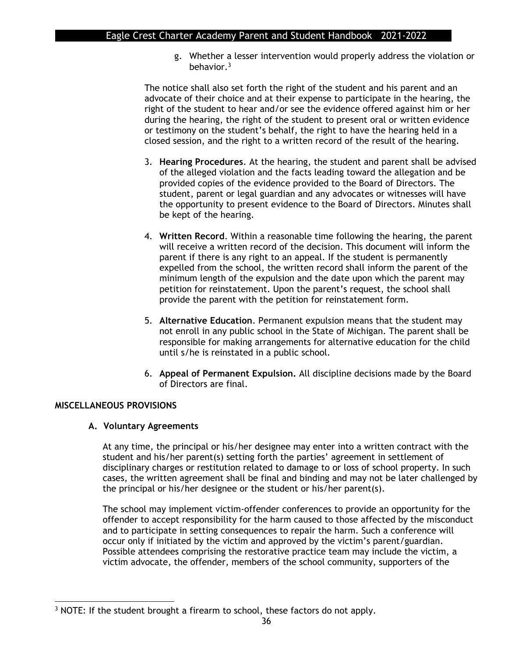g. Whether a lesser intervention would properly address the violation or behavior.<sup>3</sup>

The notice shall also set forth the right of the student and his parent and an advocate of their choice and at their expense to participate in the hearing, the right of the student to hear and/or see the evidence offered against him or her during the hearing, the right of the student to present oral or written evidence or testimony on the student's behalf, the right to have the hearing held in a closed session, and the right to a written record of the result of the hearing.

- 3. **Hearing Procedures**. At the hearing, the student and parent shall be advised of the alleged violation and the facts leading toward the allegation and be provided copies of the evidence provided to the Board of Directors. The student, parent or legal guardian and any advocates or witnesses will have the opportunity to present evidence to the Board of Directors. Minutes shall be kept of the hearing.
- 4. **Written Record**. Within a reasonable time following the hearing, the parent will receive a written record of the decision. This document will inform the parent if there is any right to an appeal. If the student is permanently expelled from the school, the written record shall inform the parent of the minimum length of the expulsion and the date upon which the parent may petition for reinstatement. Upon the parent's request, the school shall provide the parent with the petition for reinstatement form.
- 5. **Alternative Education**. Permanent expulsion means that the student may not enroll in any public school in the State of Michigan. The parent shall be responsible for making arrangements for alternative education for the child until s/he is reinstated in a public school.
- 6. **Appeal of Permanent Expulsion.** All discipline decisions made by the Board of Directors are final.

#### **MISCELLANEOUS PROVISIONS**

#### **A. Voluntary Agreements**

At any time, the principal or his/her designee may enter into a written contract with the student and his/her parent(s) setting forth the parties' agreement in settlement of disciplinary charges or restitution related to damage to or loss of school property. In such cases, the written agreement shall be final and binding and may not be later challenged by the principal or his/her designee or the student or his/her parent(s).

The school may implement victim-offender conferences to provide an opportunity for the offender to accept responsibility for the harm caused to those affected by the misconduct and to participate in setting consequences to repair the harm. Such a conference will occur only if initiated by the victim and approved by the victim's parent/guardian. Possible attendees comprising the restorative practice team may include the victim, a victim advocate, the offender, members of the school community, supporters of the

<sup>&</sup>lt;sup>3</sup> NOTE: If the student brought a firearm to school, these factors do not apply.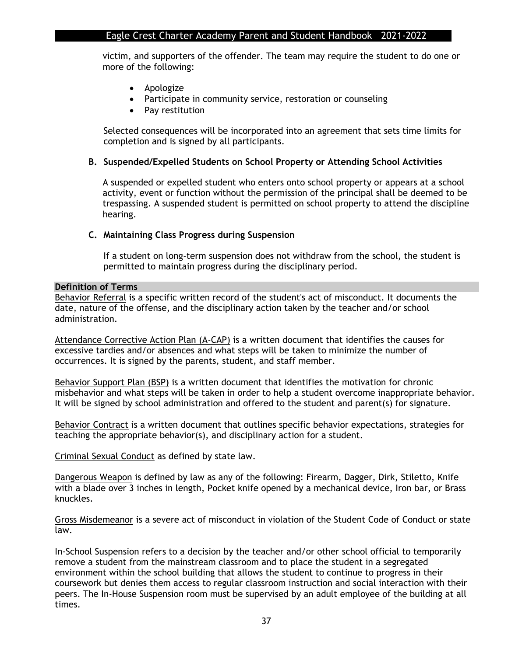victim, and supporters of the offender. The team may require the student to do one or more of the following:

- Apologize
- Participate in community service, restoration or counseling
- Pay restitution

Selected consequences will be incorporated into an agreement that sets time limits for completion and is signed by all participants.

#### **B. Suspended/Expelled Students on School Property or Attending School Activities**

A suspended or expelled student who enters onto school property or appears at a school activity, event or function without the permission of the principal shall be deemed to be trespassing. A suspended student is permitted on school property to attend the discipline hearing.

#### **C. Maintaining Class Progress during Suspension**

If a student on long-term suspension does not withdraw from the school, the student is permitted to maintain progress during the disciplinary period.

#### **Definition of Terms**

Behavior Referral is a specific written record of the student's act of misconduct. It documents the date, nature of the offense, and the disciplinary action taken by the teacher and/or school administration.

Attendance Corrective Action Plan (A-CAP) is a written document that identifies the causes for excessive tardies and/or absences and what steps will be taken to minimize the number of occurrences. It is signed by the parents, student, and staff member.

Behavior Support Plan (BSP) is a written document that identifies the motivation for chronic misbehavior and what steps will be taken in order to help a student overcome inappropriate behavior. It will be signed by school administration and offered to the student and parent(s) for signature.

Behavior Contract is a written document that outlines specific behavior expectations, strategies for teaching the appropriate behavior(s), and disciplinary action for a student.

Criminal Sexual Conduct as defined by state law.

Dangerous Weapon is defined by law as any of the following: Firearm, Dagger, Dirk, Stiletto, Knife with a blade over 3 inches in length, Pocket knife opened by a mechanical device, Iron bar, or Brass knuckles.

Gross Misdemeanor is a severe act of misconduct in violation of the Student Code of Conduct or state law.

In-School Suspension refers to a decision by the teacher and/or other school official to temporarily remove a student from the mainstream classroom and to place the student in a segregated environment within the school building that allows the student to continue to progress in their coursework but denies them access to regular classroom instruction and social interaction with their peers. The In-House Suspension room must be supervised by an adult employee of the building at all times.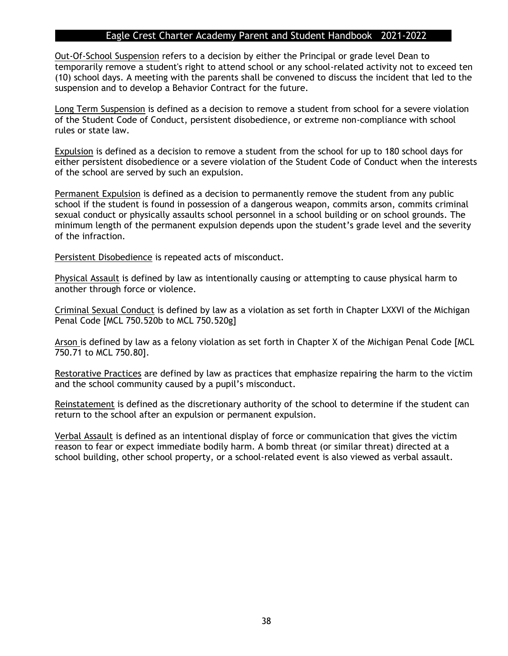Out-Of-School Suspension refers to a decision by either the Principal or grade level Dean to temporarily remove a student's right to attend school or any school-related activity not to exceed ten (10) school days. A meeting with the parents shall be convened to discuss the incident that led to the suspension and to develop a Behavior Contract for the future.

Long Term Suspension is defined as a decision to remove a student from school for a severe violation of the Student Code of Conduct, persistent disobedience, or extreme non-compliance with school rules or state law.

Expulsion is defined as a decision to remove a student from the school for up to 180 school days for either persistent disobedience or a severe violation of the Student Code of Conduct when the interests of the school are served by such an expulsion.

Permanent Expulsion is defined as a decision to permanently remove the student from any public school if the student is found in possession of a dangerous weapon, commits arson, commits criminal sexual conduct or physically assaults school personnel in a school building or on school grounds. The minimum length of the permanent expulsion depends upon the student's grade level and the severity of the infraction.

Persistent Disobedience is repeated acts of misconduct.

Physical Assault is defined by law as intentionally causing or attempting to cause physical harm to another through force or violence.

Criminal Sexual Conduct is defined by law as a violation as set forth in Chapter LXXVI of the Michigan Penal Code [MCL 750.520b to MCL 750.520g]

Arson is defined by law as a felony violation as set forth in Chapter X of the Michigan Penal Code [MCL 750.71 to MCL 750.80].

Restorative Practices are defined by law as practices that emphasize repairing the harm to the victim and the school community caused by a pupil's misconduct.

Reinstatement is defined as the discretionary authority of the school to determine if the student can return to the school after an expulsion or permanent expulsion.

Verbal Assault is defined as an intentional display of force or communication that gives the victim reason to fear or expect immediate bodily harm. A bomb threat (or similar threat) directed at a school building, other school property, or a school-related event is also viewed as verbal assault.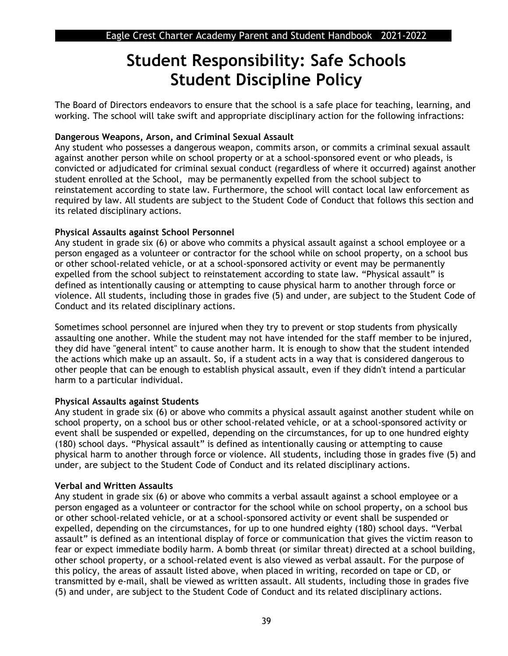## **Student Responsibility: Safe Schools Student Discipline Policy**

The Board of Directors endeavors to ensure that the school is a safe place for teaching, learning, and working. The school will take swift and appropriate disciplinary action for the following infractions:

#### **Dangerous Weapons, Arson, and Criminal Sexual Assault**

Any student who possesses a dangerous weapon, commits arson, or commits a criminal sexual assault against another person while on school property or at a school-sponsored event or who pleads, is convicted or adjudicated for criminal sexual conduct (regardless of where it occurred) against another student enrolled at the School, may be permanently expelled from the school subject to reinstatement according to state law. Furthermore, the school will contact local law enforcement as required by law. All students are subject to the Student Code of Conduct that follows this section and its related disciplinary actions.

#### **Physical Assaults against School Personnel**

Any student in grade six (6) or above who commits a physical assault against a school employee or a person engaged as a volunteer or contractor for the school while on school property, on a school bus or other school-related vehicle, or at a school-sponsored activity or event may be permanently expelled from the school subject to reinstatement according to state law. "Physical assault" is defined as intentionally causing or attempting to cause physical harm to another through force or violence. All students, including those in grades five (5) and under, are subject to the Student Code of Conduct and its related disciplinary actions.

Sometimes school personnel are injured when they try to prevent or stop students from physically assaulting one another. While the student may not have intended for the staff member to be injured, they did have "general intent" to cause another harm. It is enough to show that the student intended the actions which make up an assault. So, if a student acts in a way that is considered dangerous to other people that can be enough to establish physical assault, even if they didn't intend a particular harm to a particular individual.

#### **Physical Assaults against Students**

Any student in grade six (6) or above who commits a physical assault against another student while on school property, on a school bus or other school-related vehicle, or at a school-sponsored activity or event shall be suspended or expelled, depending on the circumstances, for up to one hundred eighty (180) school days. "Physical assault" is defined as intentionally causing or attempting to cause physical harm to another through force or violence. All students, including those in grades five (5) and under, are subject to the Student Code of Conduct and its related disciplinary actions.

#### **Verbal and Written Assaults**

Any student in grade six (6) or above who commits a verbal assault against a school employee or a person engaged as a volunteer or contractor for the school while on school property, on a school bus or other school-related vehicle, or at a school-sponsored activity or event shall be suspended or expelled, depending on the circumstances, for up to one hundred eighty (180) school days. "Verbal assault" is defined as an intentional display of force or communication that gives the victim reason to fear or expect immediate bodily harm. A bomb threat (or similar threat) directed at a school building, other school property, or a school-related event is also viewed as verbal assault. For the purpose of this policy, the areas of assault listed above, when placed in writing, recorded on tape or CD, or transmitted by e-mail, shall be viewed as written assault. All students, including those in grades five (5) and under, are subject to the Student Code of Conduct and its related disciplinary actions.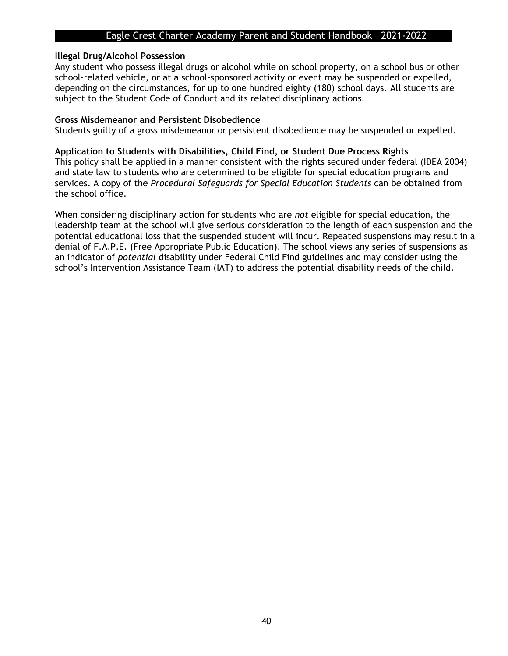#### **Illegal Drug/Alcohol Possession**

Any student who possess illegal drugs or alcohol while on school property, on a school bus or other school-related vehicle, or at a school-sponsored activity or event may be suspended or expelled, depending on the circumstances, for up to one hundred eighty (180) school days. All students are subject to the Student Code of Conduct and its related disciplinary actions.

#### **Gross Misdemeanor and Persistent Disobedience**

Students guilty of a gross misdemeanor or persistent disobedience may be suspended or expelled.

#### **Application to Students with Disabilities, Child Find, or Student Due Process Rights**

This policy shall be applied in a manner consistent with the rights secured under federal (IDEA 2004) and state law to students who are determined to be eligible for special education programs and services. A copy of the *Procedural Safeguards for Special Education Students* can be obtained from the school office.

When considering disciplinary action for students who are *not* eligible for special education, the leadership team at the school will give serious consideration to the length of each suspension and the potential educational loss that the suspended student will incur. Repeated suspensions may result in a denial of F.A.P.E. (Free Appropriate Public Education). The school views any series of suspensions as an indicator of *potential* disability under Federal Child Find guidelines and may consider using the school's Intervention Assistance Team (IAT) to address the potential disability needs of the child.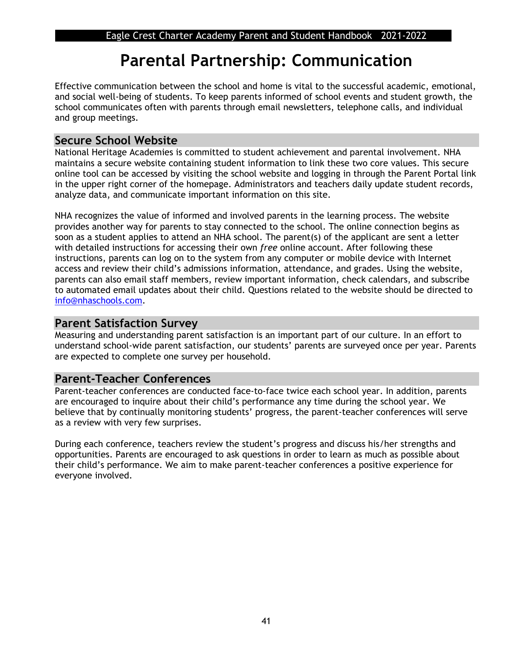## **Parental Partnership: Communication**

Effective communication between the school and home is vital to the successful academic, emotional, and social well-being of students. To keep parents informed of school events and student growth, the school communicates often with parents through email newsletters, telephone calls, and individual and group meetings.

## **Secure School Website**

National Heritage Academies is committed to student achievement and parental involvement. NHA maintains a secure website containing student information to link these two core values. This secure online tool can be accessed by visiting the school website and logging in through the Parent Portal link in the upper right corner of the homepage. Administrators and teachers daily update student records, analyze data, and communicate important information on this site.

NHA recognizes the value of informed and involved parents in the learning process. The website provides another way for parents to stay connected to the school. The online connection begins as soon as a student applies to attend an NHA school. The parent(s) of the applicant are sent a letter with detailed instructions for accessing their own *free* online account. After following these instructions, parents can log on to the system from any computer or mobile device with Internet access and review their child's admissions information, attendance, and grades. Using the website, parents can also email staff members, review important information, check calendars, and subscribe to automated email updates about their child. Questions related to the website should be directed to [info@nhaschools.com.](mailto:info@nhaschools.com)

## **Parent Satisfaction Survey**

Measuring and understanding parent satisfaction is an important part of our culture. In an effort to understand school-wide parent satisfaction, our students' parents are surveyed once per year. Parents are expected to complete one survey per household.

## **Parent-Teacher Conferences**

Parent-teacher conferences are conducted face-to-face twice each school year. In addition, parents are encouraged to inquire about their child's performance any time during the school year. We believe that by continually monitoring students' progress, the parent-teacher conferences will serve as a review with very few surprises.

During each conference, teachers review the student's progress and discuss his/her strengths and opportunities. Parents are encouraged to ask questions in order to learn as much as possible about their child's performance. We aim to make parent-teacher conferences a positive experience for everyone involved.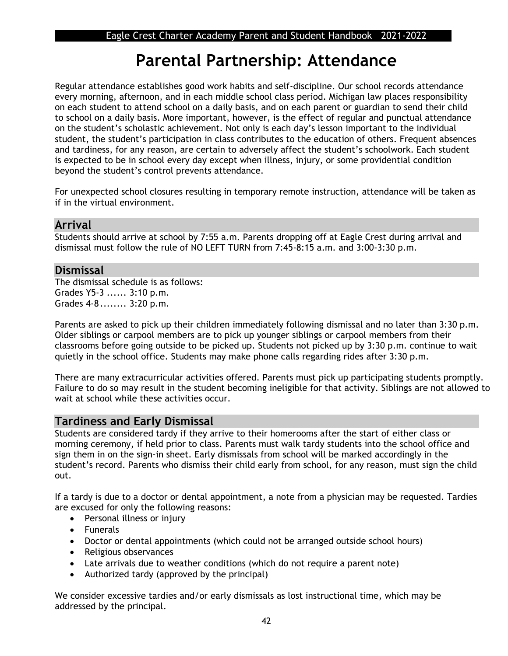## **Parental Partnership: Attendance**

Regular attendance establishes good work habits and self-discipline. Our school records attendance every morning, afternoon, and in each middle school class period. Michigan law places responsibility on each student to attend school on a daily basis, and on each parent or guardian to send their child to school on a daily basis. More important, however, is the effect of regular and punctual attendance on the student's scholastic achievement. Not only is each day's lesson important to the individual student, the student's participation in class contributes to the education of others. Frequent absences and tardiness, for any reason, are certain to adversely affect the student's schoolwork. Each student is expected to be in school every day except when illness, injury, or some providential condition beyond the student's control prevents attendance.

For unexpected school closures resulting in temporary remote instruction, attendance will be taken as if in the virtual environment.

## **Arrival**

Students should arrive at school by 7:55 a.m. Parents dropping off at Eagle Crest during arrival and dismissal must follow the rule of NO LEFT TURN from 7:45-8:15 a.m. and 3:00-3:30 p.m.

## **Dismissal**

The dismissal schedule is as follows: Grades Y5-3 ...... 3:10 p.m. Grades 4-8 ........ 3:20 p.m.

Parents are asked to pick up their children immediately following dismissal and no later than 3:30 p.m. Older siblings or carpool members are to pick up younger siblings or carpool members from their classrooms before going outside to be picked up. Students not picked up by 3:30 p.m. continue to wait quietly in the school office. Students may make phone calls regarding rides after 3:30 p.m.

There are many extracurricular activities offered. Parents must pick up participating students promptly. Failure to do so may result in the student becoming ineligible for that activity. Siblings are not allowed to wait at school while these activities occur.

## **Tardiness and Early Dismissal**

Students are considered tardy if they arrive to their homerooms after the start of either class or morning ceremony, if held prior to class. Parents must walk tardy students into the school office and sign them in on the sign-in sheet. Early dismissals from school will be marked accordingly in the student's record. Parents who dismiss their child early from school, for any reason, must sign the child out.

If a tardy is due to a doctor or dental appointment, a note from a physician may be requested. Tardies are excused for only the following reasons:

- Personal illness or injury
- Funerals
- Doctor or dental appointments (which could not be arranged outside school hours)
- Religious observances
- Late arrivals due to weather conditions (which do not require a parent note)
- Authorized tardy (approved by the principal)

We consider excessive tardies and/or early dismissals as lost instructional time, which may be addressed by the principal.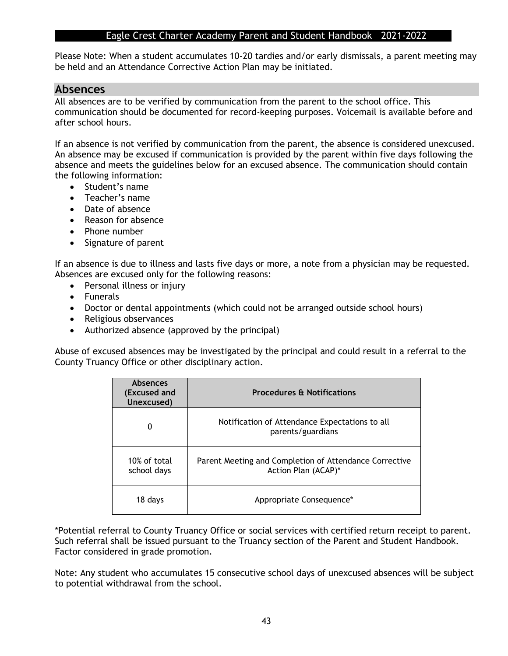Please Note: When a student accumulates 10-20 tardies and/or early dismissals, a parent meeting may be held and an Attendance Corrective Action Plan may be initiated.

### **Absences**

All absences are to be verified by communication from the parent to the school office. This communication should be documented for record-keeping purposes. Voicemail is available before and after school hours.

If an absence is not verified by communication from the parent, the absence is considered unexcused. An absence may be excused if communication is provided by the parent within five days following the absence and meets the guidelines below for an excused absence. The communication should contain the following information:

- Student's name
- Teacher's name
- Date of absence
- Reason for absence
- Phone number
- Signature of parent

If an absence is due to illness and lasts five days or more, a note from a physician may be requested. Absences are excused only for the following reasons:

- Personal illness or injury
- Funerals
- Doctor or dental appointments (which could not be arranged outside school hours)
- Religious observances
- Authorized absence (approved by the principal)

Abuse of excused absences may be investigated by the principal and could result in a referral to the County Truancy Office or other disciplinary action.

| <b>Absences</b><br>(Excused and<br>Unexcused) | <b>Procedures &amp; Notifications</b>                                         |
|-----------------------------------------------|-------------------------------------------------------------------------------|
| 0                                             | Notification of Attendance Expectations to all<br>parents/guardians           |
| 10% of total<br>school days                   | Parent Meeting and Completion of Attendance Corrective<br>Action Plan (ACAP)* |
| 18 days                                       | Appropriate Consequence*                                                      |

\*Potential referral to County Truancy Office or social services with certified return receipt to parent. Such referral shall be issued pursuant to the Truancy section of the Parent and Student Handbook. Factor considered in grade promotion.

Note: Any student who accumulates 15 consecutive school days of unexcused absences will be subject to potential withdrawal from the school.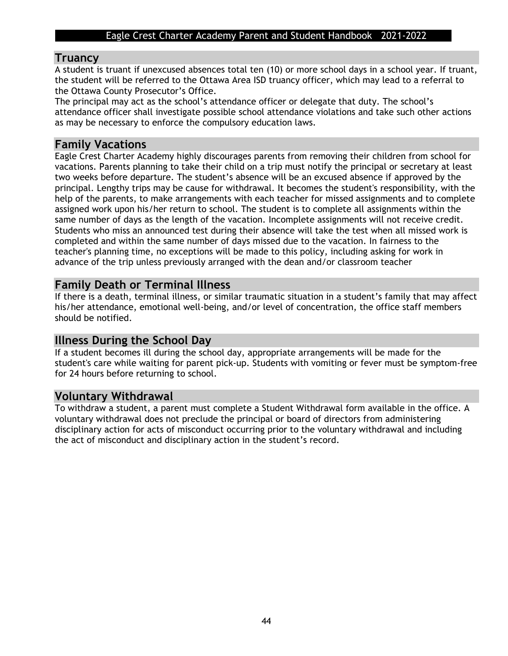## **Truancy**

A student is truant if unexcused absences total ten (10) or more school days in a school year. If truant, the student will be referred to the Ottawa Area ISD truancy officer, which may lead to a referral to the Ottawa County Prosecutor's Office.

The principal may act as the school's attendance officer or delegate that duty. The school's attendance officer shall investigate possible school attendance violations and take such other actions as may be necessary to enforce the compulsory education laws.

## **Family Vacations**

Eagle Crest Charter Academy highly discourages parents from removing their children from school for vacations. Parents planning to take their child on a trip must notify the principal or secretary at least two weeks before departure. The student's absence will be an excused absence if approved by the principal. Lengthy trips may be cause for withdrawal. It becomes the student's responsibility, with the help of the parents, to make arrangements with each teacher for missed assignments and to complete assigned work upon his/her return to school. The student is to complete all assignments within the same number of days as the length of the vacation. Incomplete assignments will not receive credit. Students who miss an announced test during their absence will take the test when all missed work is completed and within the same number of days missed due to the vacation. In fairness to the teacher's planning time, no exceptions will be made to this policy, including asking for work in advance of the trip unless previously arranged with the dean and/or classroom teacher

## **Family Death or Terminal Illness**

If there is a death, terminal illness, or similar traumatic situation in a student's family that may affect his/her attendance, emotional well-being, and/or level of concentration, the office staff members should be notified.

## **Illness During the School Day**

If a student becomes ill during the school day, appropriate arrangements will be made for the student's care while waiting for parent pick-up. Students with vomiting or fever must be symptom-free for 24 hours before returning to school.

## **Voluntary Withdrawal**

To withdraw a student, a parent must complete a Student Withdrawal form available in the office. A voluntary withdrawal does not preclude the principal or board of directors from administering disciplinary action for acts of misconduct occurring prior to the voluntary withdrawal and including the act of misconduct and disciplinary action in the student's record.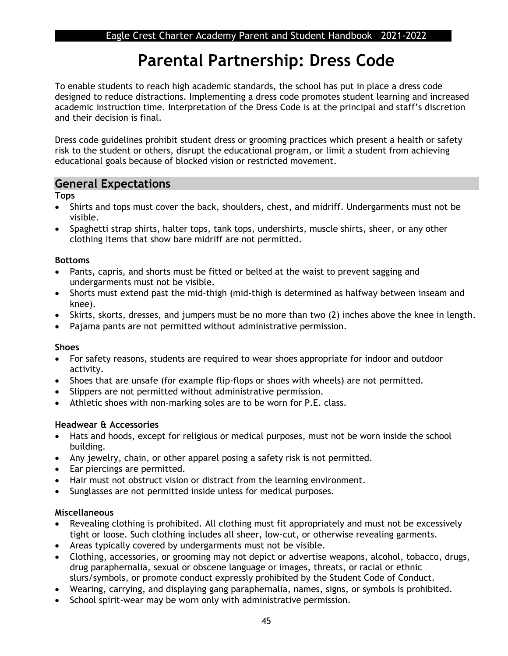## **Parental Partnership: Dress Code**

To enable students to reach high academic standards, the school has put in place a dress code designed to reduce distractions. Implementing a dress code promotes student learning and increased academic instruction time. Interpretation of the Dress Code is at the principal and staff's discretion and their decision is final.

Dress code guidelines prohibit student dress or grooming practices which present a health or safety risk to the student or others, disrupt the educational program, or limit a student from achieving educational goals because of blocked vision or restricted movement.

## **General Expectations**

**Tops**

- Shirts and tops must cover the back, shoulders, chest, and midriff. Undergarments must not be visible.
- Spaghetti strap shirts, halter tops, tank tops, undershirts, muscle shirts, sheer, or any other clothing items that show bare midriff are not permitted.

#### **Bottoms**

- Pants, capris, and shorts must be fitted or belted at the waist to prevent sagging and undergarments must not be visible.
- Shorts must extend past the mid-thigh (mid-thigh is determined as halfway between inseam and knee).
- Skirts, skorts, dresses, and jumpers must be no more than two (2) inches above the knee in length.
- Pajama pants are not permitted without administrative permission.

#### **Shoes**

- For safety reasons, students are required to wear shoes appropriate for indoor and outdoor activity.
- Shoes that are unsafe (for example flip-flops or shoes with wheels) are not permitted.
- Slippers are not permitted without administrative permission.
- Athletic shoes with non-marking soles are to be worn for P.E. class.

#### **Headwear & Accessories**

- Hats and hoods, except for religious or medical purposes, must not be worn inside the school building.
- Any jewelry, chain, or other apparel posing a safety risk is not permitted.
- Ear piercings are permitted.
- Hair must not obstruct vision or distract from the learning environment.
- Sunglasses are not permitted inside unless for medical purposes.

#### **Miscellaneous**

- Revealing clothing is prohibited. All clothing must fit appropriately and must not be excessively tight or loose. Such clothing includes all sheer, low-cut, or otherwise revealing garments.
- Areas typically covered by undergarments must not be visible.
- Clothing, accessories, or grooming may not depict or advertise weapons, alcohol, tobacco, drugs, drug paraphernalia, sexual or obscene language or images, threats, or racial or ethnic slurs/symbols, or promote conduct expressly prohibited by the Student Code of Conduct.
- Wearing, carrying, and displaying gang paraphernalia, names, signs, or symbols is prohibited.
- School spirit-wear may be worn only with administrative permission.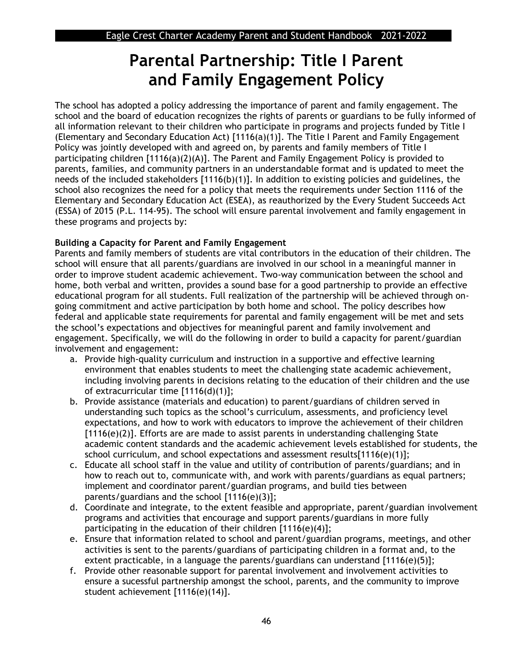## **Parental Partnership: Title I Parent and Family Engagement Policy**

The school has adopted a policy addressing the importance of parent and family engagement. The school and the board of education recognizes the rights of parents or guardians to be fully informed of all information relevant to their children who participate in programs and projects funded by Title I (Elementary and Secondary Education Act) [1116(a)(1)]. The Title I Parent and Family Engagement Policy was jointly developed with and agreed on, by parents and family members of Title I participating children [1116(a)(2)(A)]. The Parent and Family Engagement Policy is provided to parents, families, and community partners in an understandable format and is updated to meet the needs of the included stakeholders [1116(b)(1)]. In addition to existing policies and guidelines, the school also recognizes the need for a policy that meets the requirements under Section 1116 of the Elementary and Secondary Education Act (ESEA), as reauthorized by the Every Student Succeeds Act (ESSA) of 2015 (P.L. 114-95). The school will ensure parental involvement and family engagement in these programs and projects by:

### **Building a Capacity for Parent and Family Engagement**

Parents and family members of students are vital contributors in the education of their children. The school will ensure that all parents/guardians are involved in our school in a meaningful manner in order to improve student academic achievement. Two-way communication between the school and home, both verbal and written, provides a sound base for a good partnership to provide an effective educational program for all students. Full realization of the partnership will be achieved through ongoing commitment and active participation by both home and school. The policy describes how federal and applicable state requirements for parental and family engagement will be met and sets the school's expectations and objectives for meaningful parent and family involvement and engagement. Specifically, we will do the following in order to build a capacity for parent/guardian involvement and engagement:

- a. Provide high-quality curriculum and instruction in a supportive and effective learning environment that enables students to meet the challenging state academic achievement, including involving parents in decisions relating to the education of their children and the use of extracurricular time [1116(d)(1)];
- b. Provide assistance (materials and education) to parent/guardians of children served in understanding such topics as the school's curriculum, assessments, and proficiency level expectations, and how to work with educators to improve the achievement of their children [1116(e)(2)]. Efforts are are made to assist parents in understanding challenging State academic content standards and the academic achievement levels established for students, the school curriculum, and school expectations and assessment results[1116(e)(1)];
- c. Educate all school staff in the value and utility of contribution of parents/guardians; and in how to reach out to, communicate with, and work with parents/guardians as equal partners; implement and coordinator parent/guardian programs, and build ties between parents/guardians and the school [1116(e)(3)];
- d. Coordinate and integrate, to the extent feasible and appropriate, parent/guardian involvement programs and activities that encourage and support parents/guardians in more fully participating in the education of their children [1116(e)(4)];
- e. Ensure that information related to school and parent/guardian programs, meetings, and other activities is sent to the parents/guardians of participating children in a format and, to the extent practicable, in a language the parents/guardians can understand [1116(e)(5)];
- f. Provide other reasonable support for parental involvement and involvement activities to ensure a sucessful partnership amongst the school, parents, and the community to improve student achievement [1116(e)(14)].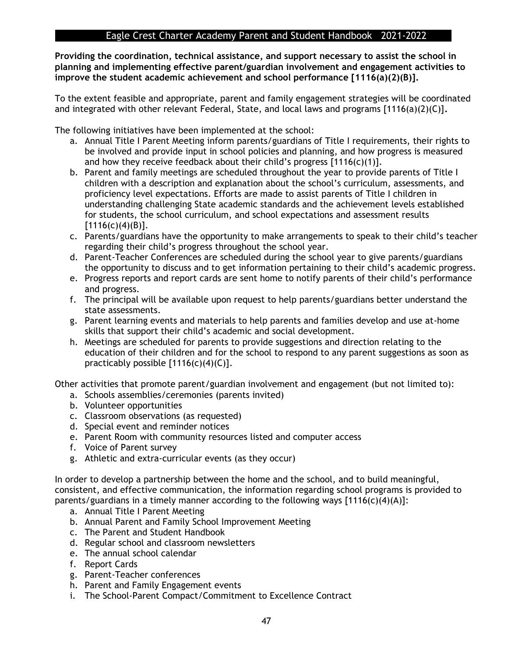**Providing the coordination, technical assistance, and support necessary to assist the school in planning and implementing effective parent/guardian involvement and engagement activities to improve the student academic achievement and school performance [1116(a)(2)(B)].** 

To the extent feasible and appropriate, parent and family engagement strategies will be coordinated and integrated with other relevant Federal, State, and local laws and programs [1116(a)(2)(C)]**.** 

The following initiatives have been implemented at the school:

- a. Annual Title I Parent Meeting inform parents/guardians of Title I requirements, their rights to be involved and provide input in school policies and planning, and how progress is measured and how they receive feedback about their child's progress  $[1116(c)(1)].$
- b. Parent and family meetings are scheduled throughout the year to provide parents of Title I children with a description and explanation about the school's curriculum, assessments, and proficiency level expectations. Efforts are made to assist parents of Title I children in understanding challenging State academic standards and the achievement levels established for students, the school curriculum, and school expectations and assessment results  $[1116(c)(4)(B)].$
- c. Parents/guardians have the opportunity to make arrangements to speak to their child's teacher regarding their child's progress throughout the school year.
- d. Parent-Teacher Conferences are scheduled during the school year to give parents/guardians the opportunity to discuss and to get information pertaining to their child's academic progress.
- e. Progress reports and report cards are sent home to notify parents of their child's performance and progress.
- f. The principal will be available upon request to help parents/guardians better understand the state assessments.
- g. Parent learning events and materials to help parents and families develop and use at-home skills that support their child's academic and social development.
- h. Meetings are scheduled for parents to provide suggestions and direction relating to the education of their children and for the school to respond to any parent suggestions as soon as practicably possible  $[1116(c)(4)(C)].$

Other activities that promote parent/guardian involvement and engagement (but not limited to):

- a. Schools assemblies/ceremonies (parents invited)
- b. Volunteer opportunities
- c. Classroom observations (as requested)
- d. Special event and reminder notices
- e. Parent Room with community resources listed and computer access
- f. Voice of Parent survey
- g. Athletic and extra-curricular events (as they occur)

In order to develop a partnership between the home and the school, and to build meaningful, consistent, and effective communication, the information regarding school programs is provided to parents/guardians in a timely manner according to the following ways [1116(c)(4)(A)]:

- a. Annual Title I Parent Meeting
- b. Annual Parent and Family School Improvement Meeting
- c. The Parent and Student Handbook
- d. Regular school and classroom newsletters
- e. The annual school calendar
- f. Report Cards
- g. Parent-Teacher conferences
- h. Parent and Family Engagement events
- i. The School-Parent Compact/Commitment to Excellence Contract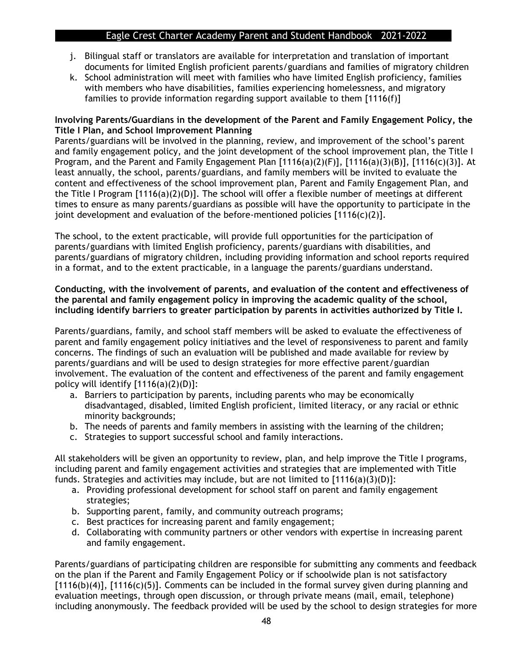- j. Bilingual staff or translators are available for interpretation and translation of important documents for limited English proficient parents/guardians and families of migratory children
- k. School administration will meet with families who have limited English proficiency, families with members who have disabilities, families experiencing homelessness, and migratory families to provide information regarding support available to them [1116(f)]

#### **Involving Parents/Guardians in the development of the Parent and Family Engagement Policy, the Title I Plan, and School Improvement Planning**

Parents/guardians will be involved in the planning, review, and improvement of the school's parent and family engagement policy, and the joint development of the school improvement plan, the Title I Program, and the Parent and Family Engagement Plan [1116(a)(2)(F)], [1116(a)(3)(B)], [1116(c)(3)]. At least annually, the school, parents/guardians, and family members will be invited to evaluate the content and effectiveness of the school improvement plan, Parent and Family Engagement Plan, and the Title I Program  $[1116(a)(2)(D)]$ . The school will offer a flexible number of meetings at different times to ensure as many parents/guardians as possible will have the opportunity to participate in the joint development and evaluation of the before-mentioned policies  $[1116(c)(2)].$ 

The school, to the extent practicable, will provide full opportunities for the participation of parents/guardians with limited English proficiency, parents/guardians with disabilities, and parents/guardians of migratory children, including providing information and school reports required in a format, and to the extent practicable, in a language the parents/guardians understand.

#### **Conducting, with the involvement of parents, and evaluation of the content and effectiveness of the parental and family engagement policy in improving the academic quality of the school, including identify barriers to greater participation by parents in activities authorized by Title I.**

Parents/guardians, family, and school staff members will be asked to evaluate the effectiveness of parent and family engagement policy initiatives and the level of responsiveness to parent and family concerns. The findings of such an evaluation will be published and made available for review by parents/guardians and will be used to design strategies for more effective parent/guardian involvement. The evaluation of the content and effectiveness of the parent and family engagement policy will identify  $[1116(a)(2)(D)]$ :

- a. Barriers to participation by parents, including parents who may be economically disadvantaged, disabled, limited English proficient, limited literacy, or any racial or ethnic minority backgrounds;
- b. The needs of parents and family members in assisting with the learning of the children;
- c. Strategies to support successful school and family interactions.

All stakeholders will be given an opportunity to review, plan, and help improve the Title I programs, including parent and family engagement activities and strategies that are implemented with Title funds. Strategies and activities may include, but are not limited to  $[1116(a)(3)(D)]$ :

- a. Providing professional development for school staff on parent and family engagement strategies;
- b. Supporting parent, family, and community outreach programs;
- c. Best practices for increasing parent and family engagement;
- d. Collaborating with community partners or other vendors with expertise in increasing parent and family engagement.

Parents/guardians of participating children are responsible for submitting any comments and feedback on the plan if the Parent and Family Engagement Policy or if schoolwide plan is not satisfactory  $[1116(b)(4)]$ ,  $[1116(c)(5)]$ . Comments can be included in the formal survey given during planning and evaluation meetings, through open discussion, or through private means (mail, email, telephone) including anonymously. The feedback provided will be used by the school to design strategies for more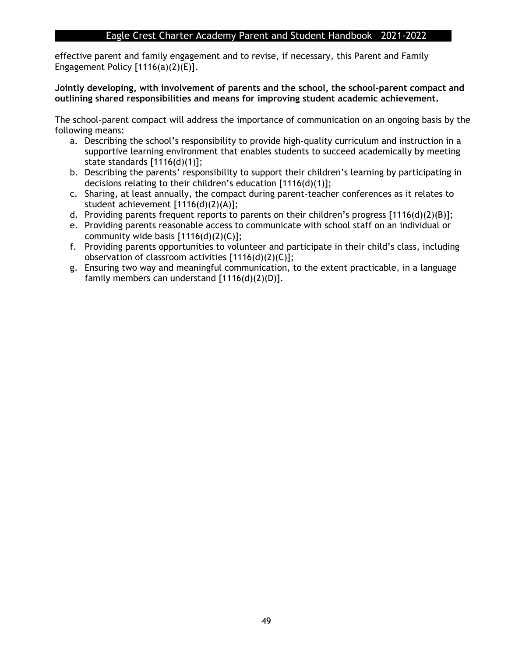effective parent and family engagement and to revise, if necessary, this Parent and Family Engagement Policy  $[1116(a)(2)(E)].$ 

#### **Jointly developing, with involvement of parents and the school, the school-parent compact and outlining shared responsibilities and means for improving student academic achievement.**

The school-parent compact will address the importance of communication on an ongoing basis by the following means:

- a. Describing the school's responsibility to provide high-quality curriculum and instruction in a supportive learning environment that enables students to succeed academically by meeting state standards [1116(d)(1)];
- b. Describing the parents' responsibility to support their children's learning by participating in decisions relating to their children's education [1116(d)(1)];
- c. Sharing, at least annually, the compact during parent-teacher conferences as it relates to student achievement [1116(d)(2)(A)];
- d. Providing parents frequent reports to parents on their children's progress [1116(d)(2)(B)];
- e. Providing parents reasonable access to communicate with school staff on an individual or community wide basis  $[1116(d)(2)(C)]$ ;
- f. Providing parents opportunities to volunteer and participate in their child's class, including observation of classroom activities [1116(d)(2)(C)];
- g. Ensuring two way and meaningful communication, to the extent practicable, in a language family members can understand [1116(d)(2)(D)].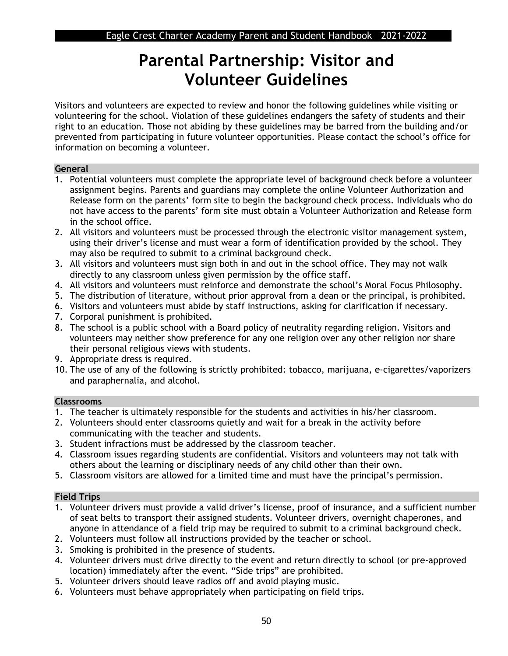## **Parental Partnership: Visitor and Volunteer Guidelines**

Visitors and volunteers are expected to review and honor the following guidelines while visiting or volunteering for the school. Violation of these guidelines endangers the safety of students and their right to an education. Those not abiding by these guidelines may be barred from the building and/or prevented from participating in future volunteer opportunities. Please contact the school's office for information on becoming a volunteer.

#### **General**

- 1. Potential volunteers must complete the appropriate level of background check before a volunteer assignment begins. Parents and guardians may complete the online Volunteer Authorization and Release form on the parents' form site to begin the background check process. Individuals who do not have access to the parents' form site must obtain a Volunteer Authorization and Release form in the school office.
- 2. All visitors and volunteers must be processed through the electronic visitor management system, using their driver's license and must wear a form of identification provided by the school. They may also be required to submit to a criminal background check.
- 3. All visitors and volunteers must sign both in and out in the school office. They may not walk directly to any classroom unless given permission by the office staff.
- 4. All visitors and volunteers must reinforce and demonstrate the school's Moral Focus Philosophy.
- 5. The distribution of literature, without prior approval from a dean or the principal, is prohibited.
- 6. Visitors and volunteers must abide by staff instructions, asking for clarification if necessary.
- 7. Corporal punishment is prohibited.
- 8. The school is a public school with a Board policy of neutrality regarding religion. Visitors and volunteers may neither show preference for any one religion over any other religion nor share their personal religious views with students.
- 9. Appropriate dress is required.
- 10. The use of any of the following is strictly prohibited: tobacco, marijuana, e-cigarettes/vaporizers and paraphernalia, and alcohol.

#### **Classrooms**

- 1. The teacher is ultimately responsible for the students and activities in his/her classroom.
- 2. Volunteers should enter classrooms quietly and wait for a break in the activity before communicating with the teacher and students.
- 3. Student infractions must be addressed by the classroom teacher.
- 4. Classroom issues regarding students are confidential. Visitors and volunteers may not talk with others about the learning or disciplinary needs of any child other than their own.
- 5. Classroom visitors are allowed for a limited time and must have the principal's permission.

## **Field Trips**

- 1. Volunteer drivers must provide a valid driver's license, proof of insurance, and a sufficient number of seat belts to transport their assigned students. Volunteer drivers, overnight chaperones, and anyone in attendance of a field trip may be required to submit to a criminal background check.
- 2. Volunteers must follow all instructions provided by the teacher or school.
- 3. Smoking is prohibited in the presence of students.
- 4. Volunteer drivers must drive directly to the event and return directly to school (or pre-approved location) immediately after the event. "Side trips" are prohibited.
- 5. Volunteer drivers should leave radios off and avoid playing music.
- 6. Volunteers must behave appropriately when participating on field trips.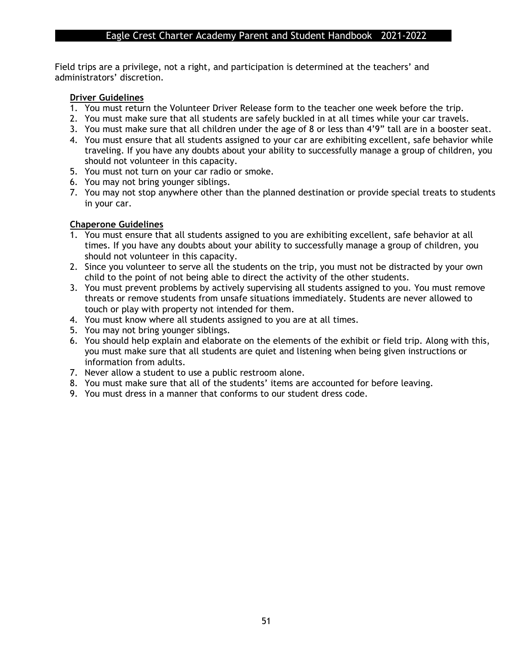Field trips are a privilege, not a right, and participation is determined at the teachers' and administrators' discretion.

#### **Driver Guidelines**

- 1. You must return the Volunteer Driver Release form to the teacher one week before the trip.
- 2. You must make sure that all students are safely buckled in at all times while your car travels.
- 3. You must make sure that all children under the age of 8 or less than 4'9" tall are in a booster seat.
- 4. You must ensure that all students assigned to your car are exhibiting excellent, safe behavior while traveling. If you have any doubts about your ability to successfully manage a group of children, you should not volunteer in this capacity.
- 5. You must not turn on your car radio or smoke.
- 6. You may not bring younger siblings.
- 7. You may not stop anywhere other than the planned destination or provide special treats to students in your car.

#### **Chaperone Guidelines**

- 1. You must ensure that all students assigned to you are exhibiting excellent, safe behavior at all times. If you have any doubts about your ability to successfully manage a group of children, you should not volunteer in this capacity.
- 2. Since you volunteer to serve all the students on the trip, you must not be distracted by your own child to the point of not being able to direct the activity of the other students.
- 3. You must prevent problems by actively supervising all students assigned to you. You must remove threats or remove students from unsafe situations immediately. Students are never allowed to touch or play with property not intended for them.
- 4. You must know where all students assigned to you are at all times.
- 5. You may not bring younger siblings.
- 6. You should help explain and elaborate on the elements of the exhibit or field trip. Along with this, you must make sure that all students are quiet and listening when being given instructions or information from adults.
- 7. Never allow a student to use a public restroom alone.
- 8. You must make sure that all of the students' items are accounted for before leaving.
- 9. You must dress in a manner that conforms to our student dress code.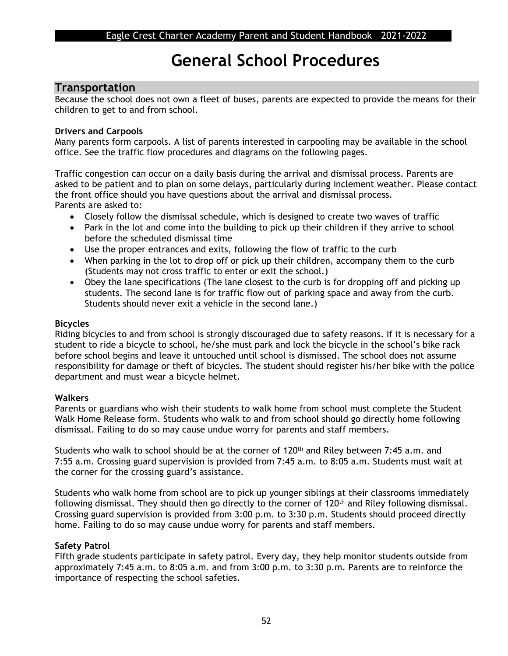## **General School Procedures**

## **Transportation**

Because the school does not own a fleet of buses, parents are expected to provide the means for their children to get to and from school.

#### **Drivers and Carpools**

Many parents form carpools. A list of parents interested in carpooling may be available in the school office. See the traffic flow procedures and diagrams on the following pages.

Traffic congestion can occur on a daily basis during the arrival and dismissal process. Parents are asked to be patient and to plan on some delays, particularly during inclement weather. Please contact the front office should you have questions about the arrival and dismissal process. Parents are asked to:

- Closely follow the dismissal schedule, which is designed to create two waves of traffic
- Park in the lot and come into the building to pick up their children if they arrive to school before the scheduled dismissal time
- Use the proper entrances and exits, following the flow of traffic to the curb
- When parking in the lot to drop off or pick up their children, accompany them to the curb (Students may not cross traffic to enter or exit the school.)
- Obey the lane specifications (The lane closest to the curb is for dropping off and picking up students. The second lane is for traffic flow out of parking space and away from the curb. Students should never exit a vehicle in the second lane.)

#### **Bicycles**

Riding bicycles to and from school is strongly discouraged due to safety reasons. If it is necessary for a student to ride a bicycle to school, he/she must park and lock the bicycle in the school's bike rack before school begins and leave it untouched until school is dismissed. The school does not assume responsibility for damage or theft of bicycles. The student should register his/her bike with the police department and must wear a bicycle helmet.

#### **Walkers**

Parents or guardians who wish their students to walk home from school must complete the Student Walk Home Release form. Students who walk to and from school should go directly home following dismissal. Failing to do so may cause undue worry for parents and staff members.

Students who walk to school should be at the corner of 120<sup>th</sup> and Riley between 7:45 a.m. and 7:55 a.m. Crossing guard supervision is provided from 7:45 a.m. to 8:05 a.m. Students must wait at the corner for the crossing guard's assistance.

Students who walk home from school are to pick up younger siblings at their classrooms immediately following dismissal. They should then go directly to the corner of 120<sup>th</sup> and Riley following dismissal. Crossing guard supervision is provided from 3:00 p.m. to 3:30 p.m. Students should proceed directly home. Failing to do so may cause undue worry for parents and staff members.

#### **Safety Patrol**

Fifth grade students participate in safety patrol. Every day, they help monitor students outside from approximately 7:45 a.m. to 8:05 a.m. and from 3:00 p.m. to 3:30 p.m. Parents are to reinforce the importance of respecting the school safeties.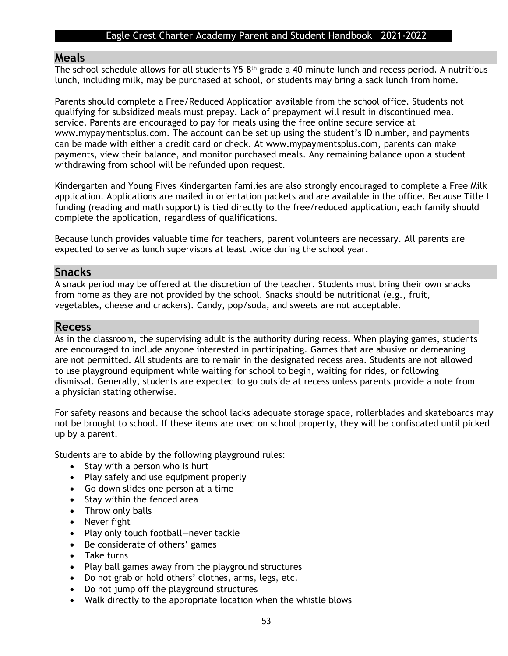#### **Meals**

The school schedule allows for all students Y5-8<sup>th</sup> grade a 40-minute lunch and recess period. A nutritious lunch, including milk, may be purchased at school, or students may bring a sack lunch from home.

Parents should complete a Free/Reduced Application available from the school office. Students not qualifying for subsidized meals must prepay. Lack of prepayment will result in discontinued meal service. Parents are encouraged to pay for meals using the free online secure service at www.mypaymentsplus.com. The account can be set up using the student's ID number, and payments can be made with either a credit card or check. At www.mypaymentsplus.com, parents can make payments, view their balance, and monitor purchased meals. Any remaining balance upon a student withdrawing from school will be refunded upon request.

Kindergarten and Young Fives Kindergarten families are also strongly encouraged to complete a Free Milk application. Applications are mailed in orientation packets and are available in the office. Because Title I funding (reading and math support) is tied directly to the free/reduced application, each family should complete the application, regardless of qualifications.

Because lunch provides valuable time for teachers, parent volunteers are necessary. All parents are expected to serve as lunch supervisors at least twice during the school year.

#### **Snacks**

A snack period may be offered at the discretion of the teacher. Students must bring their own snacks from home as they are not provided by the school. Snacks should be nutritional (e.g., fruit, vegetables, cheese and crackers). Candy, pop/soda, and sweets are not acceptable.

#### **Recess**

As in the classroom, the supervising adult is the authority during recess. When playing games, students are encouraged to include anyone interested in participating. Games that are abusive or demeaning are not permitted. All students are to remain in the designated recess area. Students are not allowed to use playground equipment while waiting for school to begin, waiting for rides, or following dismissal. Generally, students are expected to go outside at recess unless parents provide a note from a physician stating otherwise.

For safety reasons and because the school lacks adequate storage space, rollerblades and skateboards may not be brought to school. If these items are used on school property, they will be confiscated until picked up by a parent.

Students are to abide by the following playground rules:

- Stay with a person who is hurt
- Play safely and use equipment properly
- Go down slides one person at a time
- Stay within the fenced area
- Throw only balls
- Never fight
- Play only touch football-never tackle
- Be considerate of others' games
- Take turns
- Play ball games away from the playground structures
- Do not grab or hold others' clothes, arms, legs, etc.
- Do not jump off the playground structures
- Walk directly to the appropriate location when the whistle blows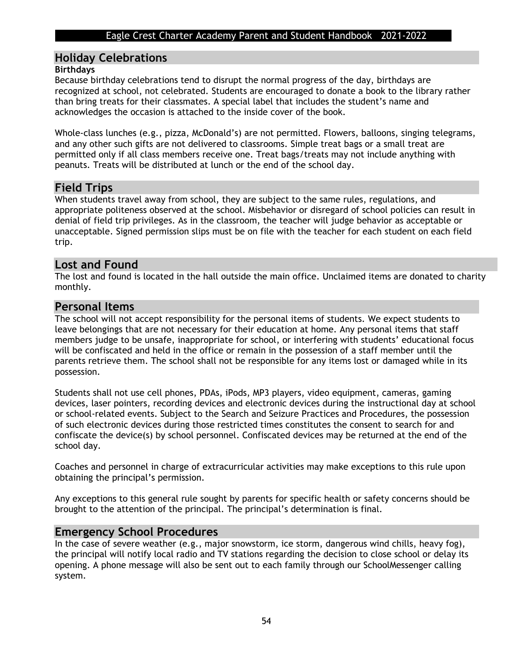## **Holiday Celebrations**

#### **Birthdays**

Because birthday celebrations tend to disrupt the normal progress of the day, birthdays are recognized at school, not celebrated. Students are encouraged to donate a book to the library rather than bring treats for their classmates. A special label that includes the student's name and acknowledges the occasion is attached to the inside cover of the book.

Whole-class lunches (e.g., pizza, McDonald's) are not permitted. Flowers, balloons, singing telegrams, and any other such gifts are not delivered to classrooms. Simple treat bags or a small treat are permitted only if all class members receive one. Treat bags/treats may not include anything with peanuts. Treats will be distributed at lunch or the end of the school day.

## **Field Trips**

When students travel away from school, they are subject to the same rules, regulations, and appropriate politeness observed at the school. Misbehavior or disregard of school policies can result in denial of field trip privileges. As in the classroom, the teacher will judge behavior as acceptable or unacceptable. Signed permission slips must be on file with the teacher for each student on each field trip.

## **Lost and Found**

The lost and found is located in the hall outside the main office. Unclaimed items are donated to charity monthly.

## **Personal Items**

The school will not accept responsibility for the personal items of students. We expect students to leave belongings that are not necessary for their education at home. Any personal items that staff members judge to be unsafe, inappropriate for school, or interfering with students' educational focus will be confiscated and held in the office or remain in the possession of a staff member until the parents retrieve them. The school shall not be responsible for any items lost or damaged while in its possession.

Students shall not use cell phones, PDAs, iPods, MP3 players, video equipment, cameras, gaming devices, laser pointers, recording devices and electronic devices during the instructional day at school or school-related events. Subject to the Search and Seizure Practices and Procedures, the possession of such electronic devices during those restricted times constitutes the consent to search for and confiscate the device(s) by school personnel. Confiscated devices may be returned at the end of the school day.

Coaches and personnel in charge of extracurricular activities may make exceptions to this rule upon obtaining the principal's permission.

Any exceptions to this general rule sought by parents for specific health or safety concerns should be brought to the attention of the principal. The principal's determination is final.

## **Emergency School Procedures**

In the case of severe weather (e.g., major snowstorm, ice storm, dangerous wind chills, heavy fog), the principal will notify local radio and TV stations regarding the decision to close school or delay its opening. A phone message will also be sent out to each family through our SchoolMessenger calling system.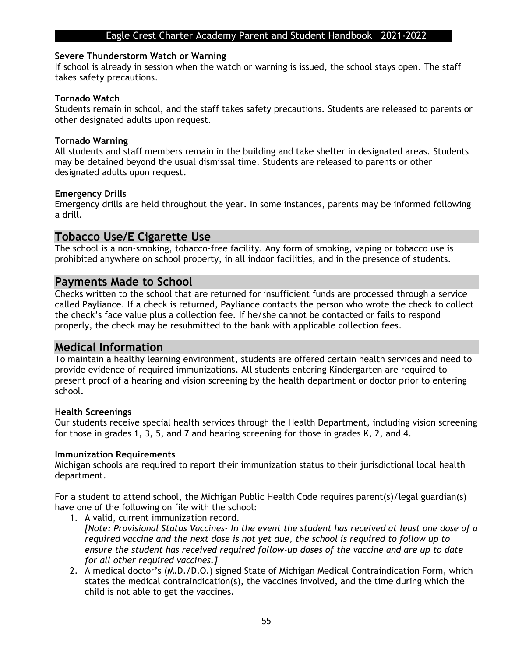#### **Severe Thunderstorm Watch or Warning**

If school is already in session when the watch or warning is issued, the school stays open. The staff takes safety precautions.

#### **Tornado Watch**

Students remain in school, and the staff takes safety precautions. Students are released to parents or other designated adults upon request.

#### **Tornado Warning**

All students and staff members remain in the building and take shelter in designated areas. Students may be detained beyond the usual dismissal time. Students are released to parents or other designated adults upon request.

#### **Emergency Drills**

Emergency drills are held throughout the year. In some instances, parents may be informed following a drill.

### **Tobacco Use/E Cigarette Use**

The school is a non-smoking, tobacco-free facility. Any form of smoking, vaping or tobacco use is prohibited anywhere on school property, in all indoor facilities, and in the presence of students.

#### **Payments Made to School**

Checks written to the school that are returned for insufficient funds are processed through a service called Payliance. If a check is returned, Payliance contacts the person who wrote the check to collect the check's face value plus a collection fee. If he/she cannot be contacted or fails to respond properly, the check may be resubmitted to the bank with applicable collection fees.

#### **Medical Information**

To maintain a healthy learning environment, students are offered certain health services and need to provide evidence of required immunizations. All students entering Kindergarten are required to present proof of a hearing and vision screening by the health department or doctor prior to entering school.

#### **Health Screenings**

Our students receive special health services through the Health Department, including vision screening for those in grades 1, 3, 5, and 7 and hearing screening for those in grades K, 2, and 4.

#### **Immunization Requirements**

Michigan schools are required to report their immunization status to their jurisdictional local health department.

For a student to attend school, the Michigan Public Health Code requires parent(s)/legal guardian(s) have one of the following on file with the school:

- 1. A valid, current immunization record. *[Note: Provisional Status Vaccines- In the event the student has received at least one dose of a required vaccine and the next dose is not yet due, the school is required to follow up to ensure the student has received required follow-up doses of the vaccine and are up to date for all other required vaccines.]*
- 2. A medical doctor's (M.D./D.O.) signed State of Michigan Medical Contraindication Form, which states the medical contraindication(s), the vaccines involved, and the time during which the child is not able to get the vaccines.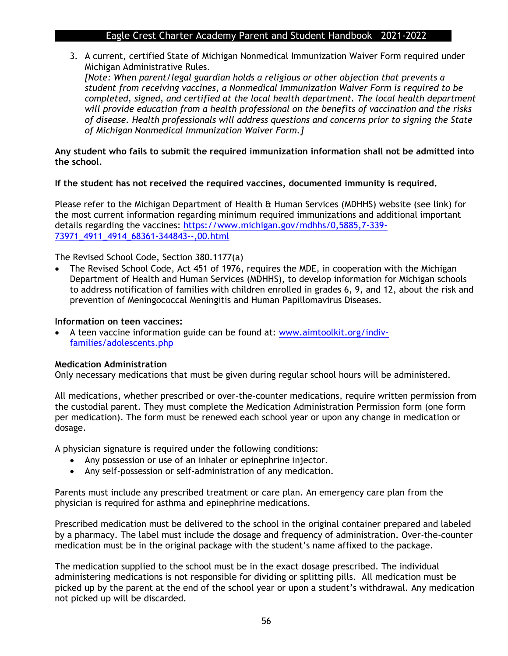3. A current, certified State of Michigan Nonmedical Immunization Waiver Form required under Michigan Administrative Rules.

*[Note: When parent/legal guardian holds a religious or other objection that prevents a student from receiving vaccines, a Nonmedical Immunization Waiver Form is required to be completed, signed, and certified at the local health department. The local health department will provide education from a health professional on the benefits of vaccination and the risks of disease. Health professionals will address questions and concerns prior to signing the State of Michigan Nonmedical Immunization Waiver Form.]* 

#### **Any student who fails to submit the required immunization information shall not be admitted into the school.**

#### **If the student has not received the required vaccines, documented immunity is required.**

Please refer to the Michigan Department of Health & Human Services (MDHHS) website (see link) for the most current information regarding minimum required immunizations and additional important details regarding the vaccines: [https://www.michigan.gov/mdhhs/0,5885,7-339-](https://www.michigan.gov/mdhhs/0,5885,7-339-73971_4911_4914_68361-344843--,00.html) [73971\\_4911\\_4914\\_68361-344843--,00.html](https://www.michigan.gov/mdhhs/0,5885,7-339-73971_4911_4914_68361-344843--,00.html)

The Revised School Code, Section 380.1177(a)

• The Revised School Code, Act 451 of 1976, requires the MDE, in cooperation with the Michigan Department of Health and Human Services (MDHHS), to develop information for Michigan schools to address notification of families with children enrolled in grades 6, 9, and 12, about the risk and prevention of Meningococcal Meningitis and Human Papillomavirus Diseases.

#### **Information on teen vaccines:**

• A teen vaccine information guide can be found at: [www.aimtoolkit.org/indiv](http://www.aimtoolkit.org/indiv-families/adolescents.php)[families/adolescents.php](http://www.aimtoolkit.org/indiv-families/adolescents.php)

#### **Medication Administration**

Only necessary medications that must be given during regular school hours will be administered.

All medications, whether prescribed or over-the-counter medications, require written permission from the custodial parent. They must complete the Medication Administration Permission form (one form per medication). The form must be renewed each school year or upon any change in medication or dosage.

A physician signature is required under the following conditions:

- Any possession or use of an inhaler or epinephrine injector.
- Any self-possession or self-administration of any medication.

Parents must include any prescribed treatment or care plan. An emergency care plan from the physician is required for asthma and epinephrine medications.

Prescribed medication must be delivered to the school in the original container prepared and labeled by a pharmacy. The label must include the dosage and frequency of administration. Over-the-counter medication must be in the original package with the student's name affixed to the package.

The medication supplied to the school must be in the exact dosage prescribed. The individual administering medications is not responsible for dividing or splitting pills. All medication must be picked up by the parent at the end of the school year or upon a student's withdrawal. Any medication not picked up will be discarded.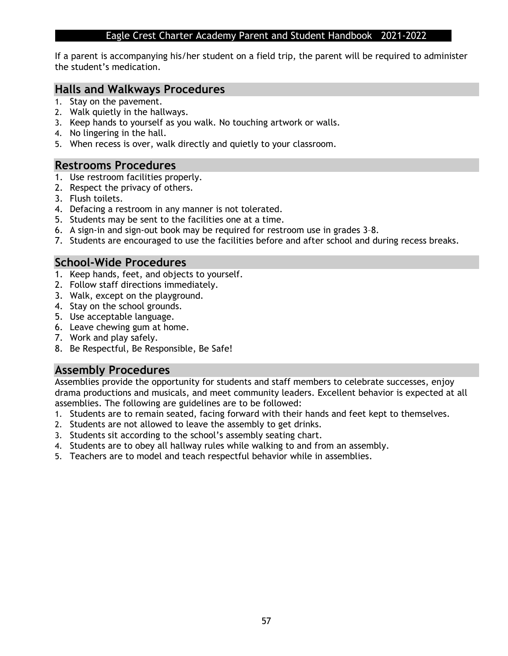If a parent is accompanying his/her student on a field trip, the parent will be required to administer the student's medication.

#### **Halls and Walkways Procedures**

- 1. Stay on the pavement.
- 2. Walk quietly in the hallways.
- 3. Keep hands to yourself as you walk. No touching artwork or walls.
- 4. No lingering in the hall.
- 5. When recess is over, walk directly and quietly to your classroom.

#### **Restrooms Procedures**

- 1. Use restroom facilities properly.
- 2. Respect the privacy of others.
- 3. Flush toilets.
- 4. Defacing a restroom in any manner is not tolerated.
- 5. Students may be sent to the facilities one at a time.
- 6. A sign-in and sign-out book may be required for restroom use in grades 3–8.
- 7. Students are encouraged to use the facilities before and after school and during recess breaks.

## **School-Wide Procedures**

- 1. Keep hands, feet, and objects to yourself.
- 2. Follow staff directions immediately.
- 3. Walk, except on the playground.
- 4. Stay on the school grounds.
- 5. Use acceptable language.
- 6. Leave chewing gum at home.
- 7. Work and play safely.
- 8. Be Respectful, Be Responsible, Be Safe!

## **Assembly Procedures**

Assemblies provide the opportunity for students and staff members to celebrate successes, enjoy drama productions and musicals, and meet community leaders. Excellent behavior is expected at all assemblies. The following are guidelines are to be followed:

- 1. Students are to remain seated, facing forward with their hands and feet kept to themselves.
- 2. Students are not allowed to leave the assembly to get drinks.
- 3. Students sit according to the school's assembly seating chart.
- 4. Students are to obey all hallway rules while walking to and from an assembly.
- 5. Teachers are to model and teach respectful behavior while in assemblies.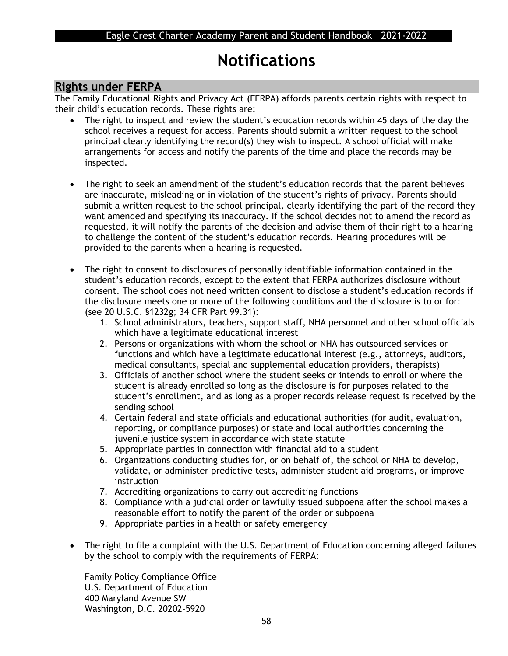## **Notifications**

## **Rights under FERPA**

The Family Educational Rights and Privacy Act (FERPA) affords parents certain rights with respect to their child's education records. These rights are:

- The right to inspect and review the student's education records within 45 days of the day the school receives a request for access. Parents should submit a written request to the school principal clearly identifying the record(s) they wish to inspect. A school official will make arrangements for access and notify the parents of the time and place the records may be inspected.
- The right to seek an amendment of the student's education records that the parent believes are inaccurate, misleading or in violation of the student's rights of privacy. Parents should submit a written request to the school principal, clearly identifying the part of the record they want amended and specifying its inaccuracy. If the school decides not to amend the record as requested, it will notify the parents of the decision and advise them of their right to a hearing to challenge the content of the student's education records. Hearing procedures will be provided to the parents when a hearing is requested.
- The right to consent to disclosures of personally identifiable information contained in the student's education records, except to the extent that FERPA authorizes disclosure without consent. The school does not need written consent to disclose a student's education records if the disclosure meets one or more of the following conditions and the disclosure is to or for: (see 20 U.S.C. §1232g; 34 CFR Part 99.31):
	- 1. School administrators, teachers, support staff, NHA personnel and other school officials which have a legitimate educational interest
	- 2. Persons or organizations with whom the school or NHA has outsourced services or functions and which have a legitimate educational interest (e.g., attorneys, auditors, medical consultants, special and supplemental education providers, therapists)
	- 3. Officials of another school where the student seeks or intends to enroll or where the student is already enrolled so long as the disclosure is for purposes related to the student's enrollment, and as long as a proper records release request is received by the sending school
	- 4. Certain federal and state officials and educational authorities (for audit, evaluation, reporting, or compliance purposes) or state and local authorities concerning the juvenile justice system in accordance with state statute
	- 5. Appropriate parties in connection with financial aid to a student
	- 6. Organizations conducting studies for, or on behalf of, the school or NHA to develop, validate, or administer predictive tests, administer student aid programs, or improve instruction
	- 7. Accrediting organizations to carry out accrediting functions
	- 8. Compliance with a judicial order or lawfully issued subpoena after the school makes a reasonable effort to notify the parent of the order or subpoena
	- 9. Appropriate parties in a health or safety emergency
- The right to file a complaint with the U.S. Department of Education concerning alleged failures by the school to comply with the requirements of FERPA:

Family Policy Compliance Office U.S. Department of Education 400 Maryland Avenue SW Washington, D.C. 20202-5920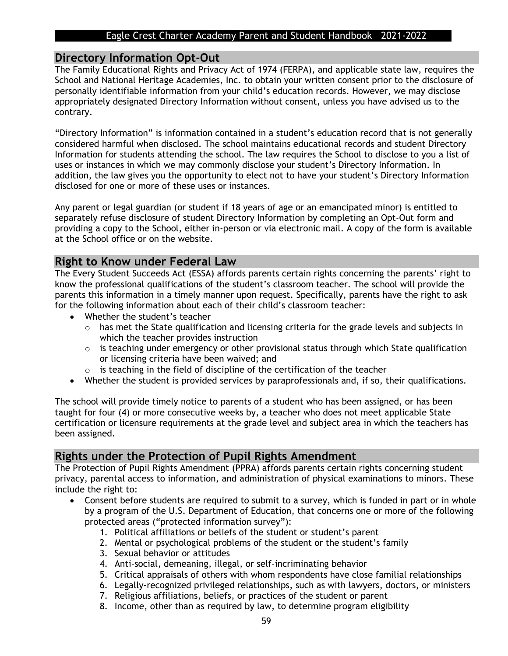#### **Directory Information Opt-Out**

The Family Educational Rights and Privacy Act of 1974 (FERPA), and applicable state law, requires the School and National Heritage Academies, Inc. to obtain your written consent prior to the disclosure of personally identifiable information from your child's education records. However, we may disclose appropriately designated Directory Information without consent, unless you have advised us to the contrary.

"Directory Information" is information contained in a student's education record that is not generally considered harmful when disclosed. The school maintains educational records and student Directory Information for students attending the school. The law requires the School to disclose to you a list of uses or instances in which we may commonly disclose your student's Directory Information. In addition, the law gives you the opportunity to elect not to have your student's Directory Information disclosed for one or more of these uses or instances.

Any parent or legal guardian (or student if 18 years of age or an emancipated minor) is entitled to separately refuse disclosure of student Directory Information by completing an Opt-Out form and providing a copy to the School, either in-person or via electronic mail. A copy of the form is available at the School office or on the website.

## **Right to Know under Federal Law**

The Every Student Succeeds Act (ESSA) affords parents certain rights concerning the parents' right to know the professional qualifications of the student's classroom teacher. The school will provide the parents this information in a timely manner upon request. Specifically, parents have the right to ask for the following information about each of their child's classroom teacher:

- Whether the student's teacher
	- $\circ$  has met the State qualification and licensing criteria for the grade levels and subjects in which the teacher provides instruction
	- o is teaching under emergency or other provisional status through which State qualification or licensing criteria have been waived; and
	- o is teaching in the field of discipline of the certification of the teacher
- Whether the student is provided services by paraprofessionals and, if so, their qualifications.

The school will provide timely notice to parents of a student who has been assigned, or has been taught for four (4) or more consecutive weeks by, a teacher who does not meet applicable State certification or licensure requirements at the grade level and subject area in which the teachers has been assigned.

## **Rights under the Protection of Pupil Rights Amendment**

The Protection of Pupil Rights Amendment (PPRA) affords parents certain rights concerning student privacy, parental access to information, and administration of physical examinations to minors. These include the right to:

- Consent before students are required to submit to a survey, which is funded in part or in whole by a program of the U.S. Department of Education, that concerns one or more of the following protected areas ("protected information survey"):
	- 1. Political affiliations or beliefs of the student or student's parent
	- 2. Mental or psychological problems of the student or the student's family
	- 3. Sexual behavior or attitudes
	- 4. Anti-social, demeaning, illegal, or self-incriminating behavior
	- 5. Critical appraisals of others with whom respondents have close familial relationships
	- 6. Legally-recognized privileged relationships, such as with lawyers, doctors, or ministers
	- 7. Religious affiliations, beliefs, or practices of the student or parent
	- 8. Income, other than as required by law, to determine program eligibility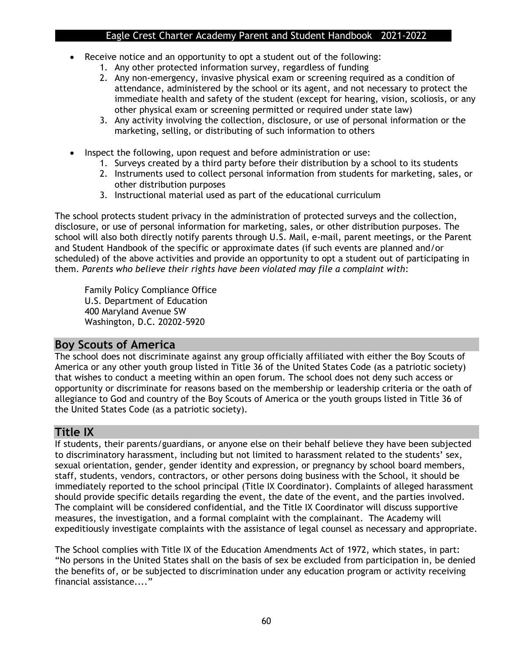- Receive notice and an opportunity to opt a student out of the following:
	- 1. Any other protected information survey, regardless of funding
	- 2. Any non-emergency, invasive physical exam or screening required as a condition of attendance, administered by the school or its agent, and not necessary to protect the immediate health and safety of the student (except for hearing, vision, scoliosis, or any other physical exam or screening permitted or required under state law)
	- 3. Any activity involving the collection, disclosure, or use of personal information or the marketing, selling, or distributing of such information to others
- Inspect the following, upon request and before administration or use:
	- 1. Surveys created by a third party before their distribution by a school to its students
	- 2. Instruments used to collect personal information from students for marketing, sales, or other distribution purposes
	- 3. Instructional material used as part of the educational curriculum

The school protects student privacy in the administration of protected surveys and the collection, disclosure, or use of personal information for marketing, sales, or other distribution purposes. The school will also both directly notify parents through U.S. Mail, e-mail, parent meetings, or the Parent and Student Handbook of the specific or approximate dates (if such events are planned and/or scheduled) of the above activities and provide an opportunity to opt a student out of participating in them. *Parents who believe their rights have been violated may file a complaint with*:

Family Policy Compliance Office U.S. Department of Education 400 Maryland Avenue SW Washington, D.C. 20202-5920

## **Boy Scouts of America**

The school does not discriminate against any group officially affiliated with either the Boy Scouts of America or any other youth group listed in Title 36 of the United States Code (as a patriotic society) that wishes to conduct a meeting within an open forum. The school does not deny such access or opportunity or discriminate for reasons based on the membership or leadership criteria or the oath of allegiance to God and country of the Boy Scouts of America or the youth groups listed in Title 36 of the United States Code (as a patriotic society).

## **Title IX**

If students, their parents/guardians, or anyone else on their behalf believe they have been subjected to discriminatory harassment, including but not limited to harassment related to the students' sex, sexual orientation, gender, gender identity and expression, or pregnancy by school board members, staff, students, vendors, contractors, or other persons doing business with the School, it should be immediately reported to the school principal (Title IX Coordinator). Complaints of alleged harassment should provide specific details regarding the event, the date of the event, and the parties involved. The complaint will be considered confidential, and the Title IX Coordinator will discuss supportive measures, the investigation, and a formal complaint with the complainant. The Academy will expeditiously investigate complaints with the assistance of legal counsel as necessary and appropriate.

The School complies with Title IX of the Education Amendments Act of 1972, which states, in part: "No persons in the United States shall on the basis of sex be excluded from participation in, be denied the benefits of, or be subjected to discrimination under any education program or activity receiving financial assistance...."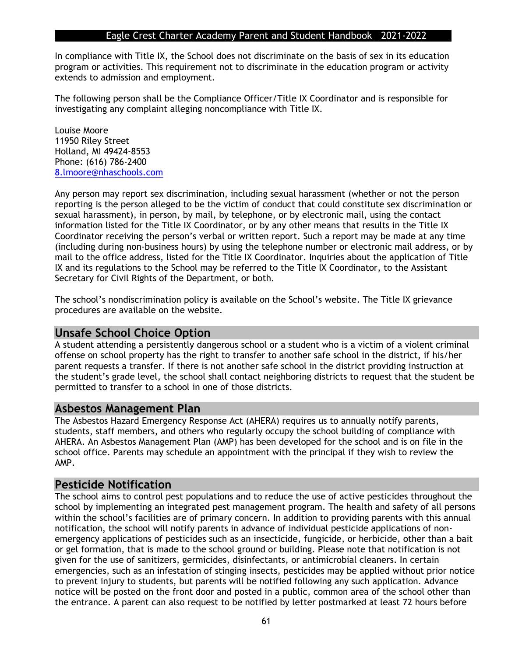In compliance with Title IX, the School does not discriminate on the basis of sex in its education program or activities. This requirement not to discriminate in the education program or activity extends to admission and employment.

The following person shall be the Compliance Officer/Title IX Coordinator and is responsible for investigating any complaint alleging noncompliance with Title IX.

Louise Moore 11950 Riley Street Holland, MI 49424-8553 Phone: (616) 786-2400 [8.lmoore@nhaschools.com](mailto:8.lmoore@nhaschools.com)

Any person may report sex discrimination, including sexual harassment (whether or not the person reporting is the person alleged to be the victim of conduct that could constitute sex discrimination or sexual harassment), in person, by mail, by telephone, or by electronic mail, using the contact information listed for the Title IX Coordinator, or by any other means that results in the Title IX Coordinator receiving the person's verbal or written report. Such a report may be made at any time (including during non-business hours) by using the telephone number or electronic mail address, or by mail to the office address, listed for the Title IX Coordinator. Inquiries about the application of Title IX and its regulations to the School may be referred to the Title IX Coordinator, to the Assistant Secretary for Civil Rights of the Department, or both.

The school's nondiscrimination policy is available on the School's website. The Title IX grievance procedures are available on the website.

#### **Unsafe School Choice Option**

A student attending a persistently dangerous school or a student who is a victim of a violent criminal offense on school property has the right to transfer to another safe school in the district, if his/her parent requests a transfer. If there is not another safe school in the district providing instruction at the student's grade level, the school shall contact neighboring districts to request that the student be permitted to transfer to a school in one of those districts.

#### **Asbestos Management Plan**

The Asbestos Hazard Emergency Response Act (AHERA) requires us to annually notify parents, students, staff members, and others who regularly occupy the school building of compliance with AHERA. An Asbestos Management Plan (AMP) has been developed for the school and is on file in the school office. Parents may schedule an appointment with the principal if they wish to review the AMP.

## **Pesticide Notification**

The school aims to control pest populations and to reduce the use of active pesticides throughout the school by implementing an integrated pest management program. The health and safety of all persons within the school's facilities are of primary concern. In addition to providing parents with this annual notification, the school will notify parents in advance of individual pesticide applications of nonemergency applications of pesticides such as an insecticide, fungicide, or herbicide, other than a bait or gel formation, that is made to the school ground or building. Please note that notification is not given for the use of sanitizers, germicides, disinfectants, or antimicrobial cleaners. In certain emergencies, such as an infestation of stinging insects, pesticides may be applied without prior notice to prevent injury to students, but parents will be notified following any such application. Advance notice will be posted on the front door and posted in a public, common area of the school other than the entrance. A parent can also request to be notified by letter postmarked at least 72 hours before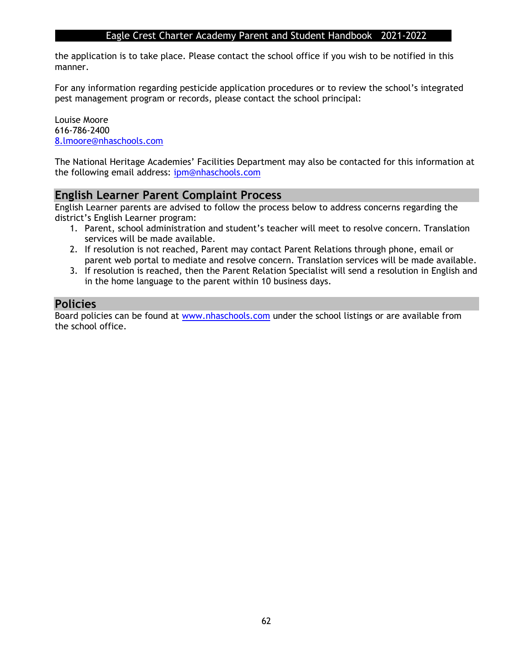the application is to take place. Please contact the school office if you wish to be notified in this manner.

For any information regarding pesticide application procedures or to review the school's integrated pest management program or records, please contact the school principal:

Louise Moore 616-786-2400 [8.lmoore@nhaschools.com](mailto:8.lmoore@nhaschools.com)

The National Heritage Academies' Facilities Department may also be contacted for this information at the following email address: [ipm@nhaschools.com](mailto:ipm@nhaschools.com)

## **English Learner Parent Complaint Process**

English Learner parents are advised to follow the process below to address concerns regarding the district's English Learner program:

- 1. Parent, school administration and student's teacher will meet to resolve concern. Translation services will be made available.
- 2. If resolution is not reached, Parent may contact Parent Relations through phone, email or parent web portal to mediate and resolve concern. Translation services will be made available.
- 3. If resolution is reached, then the Parent Relation Specialist will send a resolution in English and in the home language to the parent within 10 business days.

## **Policies**

Board policies can be found at [www.nhaschools.com](http://www.nhaschools.com/) under the school listings or are available from the school office.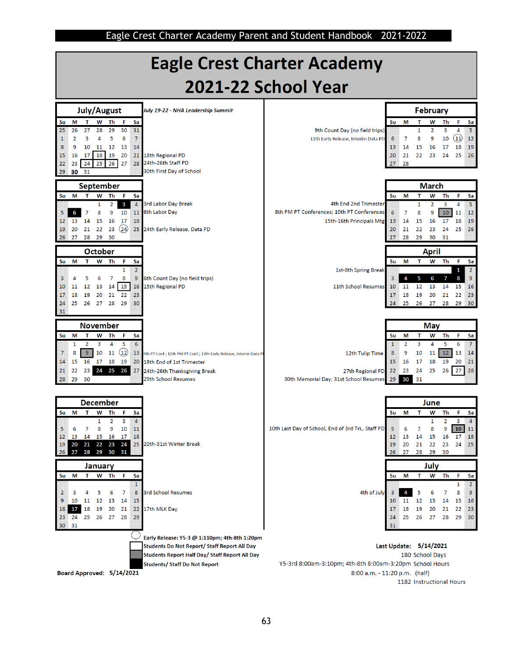

1182 Instructional Hours